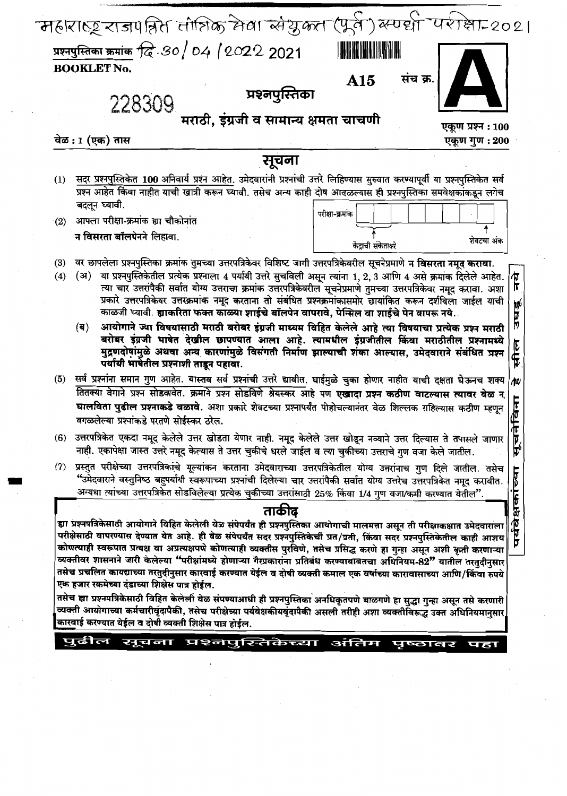|     | संच क्र.<br>A15                                                                                                                                                                                                                                                                                                                                                                                                                                                                                                                                                                                                                                                                                                                                                                                                                                                                                                                                                                                                                     |
|-----|-------------------------------------------------------------------------------------------------------------------------------------------------------------------------------------------------------------------------------------------------------------------------------------------------------------------------------------------------------------------------------------------------------------------------------------------------------------------------------------------------------------------------------------------------------------------------------------------------------------------------------------------------------------------------------------------------------------------------------------------------------------------------------------------------------------------------------------------------------------------------------------------------------------------------------------------------------------------------------------------------------------------------------------|
|     | प्रश्नपुस्तिका<br>228309                                                                                                                                                                                                                                                                                                                                                                                                                                                                                                                                                                                                                                                                                                                                                                                                                                                                                                                                                                                                            |
|     | मराठी, इंग्रजी व सामान्य क्षमता चाचणी<br>एकूण प्रश्न : 100                                                                                                                                                                                                                                                                                                                                                                                                                                                                                                                                                                                                                                                                                                                                                                                                                                                                                                                                                                          |
|     | वेळ : 1 (एक) तास<br>एकूण गुण : 200                                                                                                                                                                                                                                                                                                                                                                                                                                                                                                                                                                                                                                                                                                                                                                                                                                                                                                                                                                                                  |
|     | सूचना                                                                                                                                                                                                                                                                                                                                                                                                                                                                                                                                                                                                                                                                                                                                                                                                                                                                                                                                                                                                                               |
| (1) | सदर प्रश्नपुस्तिकेत 100 अनिवार्य प्रश्न आहेत. उमेदवारांनी प्रश्नांची उत्तरे लिहिण्यास सुरुवात करण्यापूर्वी या प्रश्नपुस्तिकेत सर्व                                                                                                                                                                                                                                                                                                                                                                                                                                                                                                                                                                                                                                                                                                                                                                                                                                                                                                  |
|     | प्रश्न आहेत किंवा नाहीत याची खात्री करून घ्यावी. तसेच अन्य काही दोष आढळल्यास ही प्रश्नपुस्तिका समवेक्षकांकडून लगेच                                                                                                                                                                                                                                                                                                                                                                                                                                                                                                                                                                                                                                                                                                                                                                                                                                                                                                                  |
|     | बदलून घ्यावी.<br>परीक्षा-क्रमांक                                                                                                                                                                                                                                                                                                                                                                                                                                                                                                                                                                                                                                                                                                                                                                                                                                                                                                                                                                                                    |
| (2) | आपला परीक्षा-क्रमांक ह्या चौकोनांत                                                                                                                                                                                                                                                                                                                                                                                                                                                                                                                                                                                                                                                                                                                                                                                                                                                                                                                                                                                                  |
|     | न विसरता बॉलपेनने लिहावा.<br>शेवटचा अंक<br>केंद्राची संकेताक्षरे                                                                                                                                                                                                                                                                                                                                                                                                                                                                                                                                                                                                                                                                                                                                                                                                                                                                                                                                                                    |
| (3) | वर छापलेला प्रश्नपुस्तिका क्रमांक तुमच्या उत्तरपत्रिकेवर विशिष्ट जागी उत्तरपत्रिकेवरील सूचनेप्रमाणे न विसरता नमूद करावा.                                                                                                                                                                                                                                                                                                                                                                                                                                                                                                                                                                                                                                                                                                                                                                                                                                                                                                            |
| (4) | या प्रश्नपुस्तिकेतील प्रत्येक प्रश्नाला 4 पर्यायी उत्तरे सुचविली असून त्यांना 1, 2, 3 आणि 4 असे क्रमांक दिलेले आहेत.<br>(अ)<br>त्या चार उत्तरांपैकी सर्वात योग्य उत्तराचा क्रमांक उत्तरपत्रिकेवरील सूचनेप्रमाणे तुमच्या उत्तरपत्रिकेवर नमूद करावा. अशा<br>प्रकारे उत्तरपत्रिकेवर उत्तरक्रमांक नमूद करताना तो संबंधित प्रश्नक्रमांकासमोर छायांकित करून दर्शविला जाईल याची<br>काळजी घ्यावी. ह्याकरिता फक्त काळ्या शाईचे बॉलपेन वापरावे, पेन्सिल वा शाईचे पेन वापरू नये.<br>(ब) आयोगाने ज्या विषयासाठी मराठी बरोबर इंग्रजी माध्यम विहित केलेले आहे त्या विषयाचा प्रत्येक प्रश्न मराठी                                                                                                                                                                                                                                                                                                                                                                                                                                                  |
|     | बरोबर इंग्रजी भाषेत देखील छापण्यात आला आहे. त्यामधील इंग्रजीतील किंवा मराठीतील प्रश्नामध्ये<br>मुद्रणदोषांमुळे अथवा अन्य कारणांमुळे विसंगती निर्माण झाल्याची शंका आल्यास, उमेदवाराने संबंधित प्रश्न<br>पर्यायी भार्षेतील प्रश्नाशी ताडून पहावा.<br>(5) सर्व प्रश्नांना समान गुण आहेत. यास्तव सर्व प्रश्नांची उत्तरे द्यावीत. घाईमुळे चुका होणार नाहीत याची दक्षता घेऊनच शक्य                                                                                                                                                                                                                                                                                                                                                                                                                                                                                                                                                                                                                                                        |
|     | तितक्या वेगाने प्रश्न सोडवावेत. क्रमाने प्रश्न सोडविणे श्रेयस्कर आहे पण एखादा प्रश्न कठीण वाटल्यास त्यावर वेळ न<br>घालविता पुढील प्रश्नाकडे वळावे. अशा प्रकारे शेवटच्या प्रश्नापर्यंत पोहोचल्यानंतर वेळ शिल्लक राहिल्यास कठीण म्हणून<br>वगळलेल्या प्रश्नांकडे परतणे सोईस्कर ठरेल.                                                                                                                                                                                                                                                                                                                                                                                                                                                                                                                                                                                                                                                                                                                                                   |
|     | (6) उत्तरपत्रिकेत एकदा नमूद केलेले उत्तर खोडता येणार नाही. नमूद केलेले उत्तर खोडून नव्याने उत्तर दिल्यास ते तपासले जाणार<br>नाही. एकापेक्षा जास्त उत्तरे नमूद केल्यास ते उत्तर चुकीचे धरले जाईल व त्या चुकीच्या उत्तराचे गुण वजा केले जातील.                                                                                                                                                                                                                                                                                                                                                                                                                                                                                                                                                                                                                                                                                                                                                                                        |
| (7) | प्रस्तुत परीक्षेच्या उत्तरपत्रिकांचे मूल्यांकन करताना उमेदवाराच्या उत्तरपत्रिकेतील योग्य उत्तरांनाच गुण दिले जातील. तसेच<br>"उमेदवाराने वस्तुनिष्ठ बहुपर्यायी स्वरूपाच्या प्रश्नांची दिलेल्या चार उत्तरांपैकी सर्वात योग्य उत्तरेच उत्तरपत्रिकेत नमूद करावीत.<br>अन्यथा त्यांच्या उत्तरपत्रिकेत सोडविलेल्या प्रत्येक चुकीच्या उत्तरांसाठी 25% किंवा 1/4 गुण वजा/कमी करण्यात येतील".                                                                                                                                                                                                                                                                                                                                                                                                                                                                                                                                                                                                                                                 |
|     | ताकीद                                                                                                                                                                                                                                                                                                                                                                                                                                                                                                                                                                                                                                                                                                                                                                                                                                                                                                                                                                                                                               |
|     | ह्या प्रश्नपत्रिकेसाठी आयोगाने विहित केलेली वेळ संपेपर्यंत ही प्रश्नपुस्तिका आयोगाची मालमत्ता असून ती परीक्षाकक्षात उमेदवाराला<br>परीक्षेसाठी वापरण्यास देण्यात येत आहे. ही वेळ संपेपर्यंत सदर प्रश्नपुस्तिकेची प्रत/प्रती, किंवा सदर प्रश्नपुस्तिकेतील काही आशय<br>कोणत्याही स्वरूपात प्रत्यक्ष वा अप्रत्यक्षपणे कोणत्याही व्यक्तीस पुरविणे, तसेच प्रसिद्ध करणे हा गुन्हा असून अशी कृती करणाऱ्या<br>व्यक्तीवर शासनाने जारी केलेल्या "परीक्षांमध्ये होणाऱ्या गैरप्रकारांना प्रतिबंध करण्याबाबतचा अधिनियम-82" यातील तरतुदीनुसार<br>तसेच प्रचलित कायद्याच्या तरतुदीनुसार कारवाई करण्यात येईल व दोषी व्यक्ती कमाल एक वर्षाच्या कारावासाच्या आणि/किंवा रुपये<br>एक हजार रकमेच्या दंडाच्या शिक्षेस पात्र होईल.<br>तसेच ह्या प्रश्नपत्रिकेसाठी विहित केलेली वेळ संपण्याआधी ही प्रश्नपुस्तिका अनधिकृतपणे बाळगणे हा सुद्धा गुन्हा असून तसे करणारी<br>व्यक्ती आयोगाच्या कर्मचारीवृंदापैकी, तसेच परीक्षेच्या पर्यवेक्षकीयवृंदापैकी असली तरीही अशा व्यक्तीविरूद्ध उक्त अधिनियमानुसार<br>कारवाई करण्यात येईल व दोषी व्यक्ती शिक्षेस पात्र होईल. |
|     |                                                                                                                                                                                                                                                                                                                                                                                                                                                                                                                                                                                                                                                                                                                                                                                                                                                                                                                                                                                                                                     |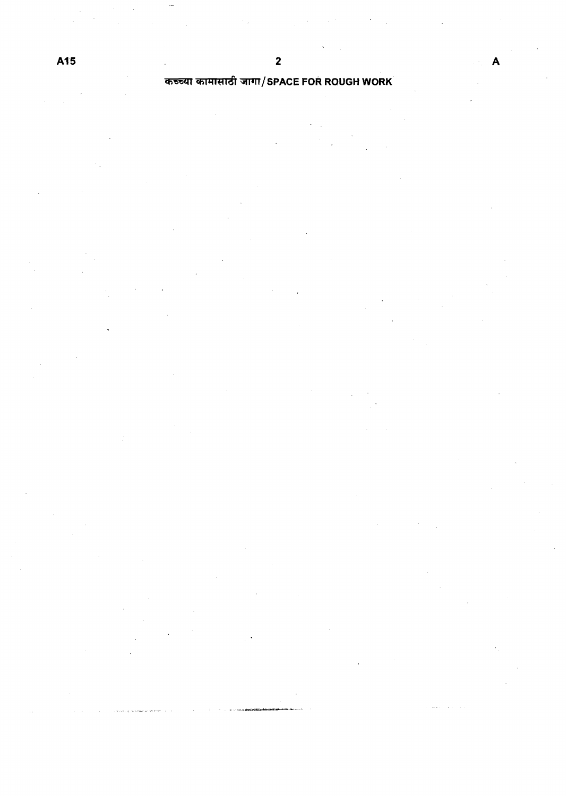# कच्च्या कामासाठी जागा/SPACE FOR ROUGH WORK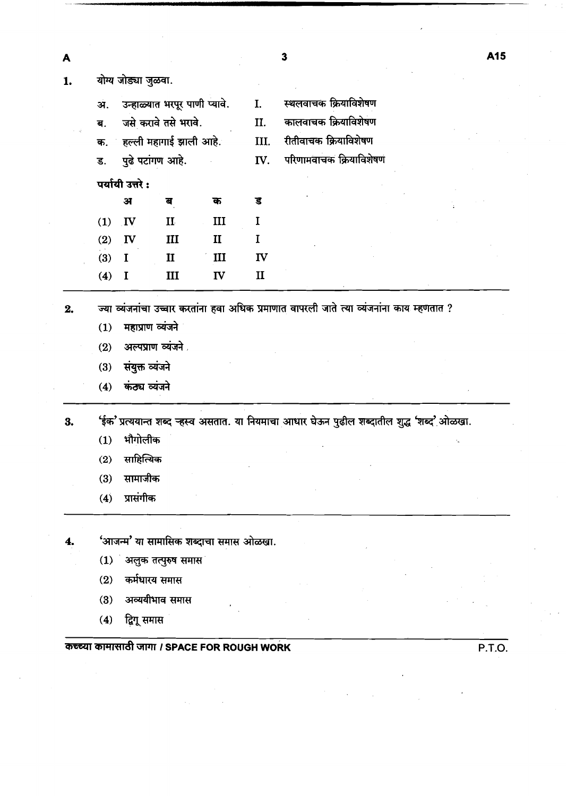| A  |                   |                                 |                                              |              |              | 3 |                                                                                            | A15    |
|----|-------------------|---------------------------------|----------------------------------------------|--------------|--------------|---|--------------------------------------------------------------------------------------------|--------|
| 1. |                   | योग्य जोड्या जुळवा.             |                                              |              |              |   |                                                                                            |        |
|    | अ.                |                                 | उन्हाळ्यात भरपूर पाणी प्यावे.                |              | I.           |   | स्थलवाचक क्रियाविशेषण                                                                      |        |
|    | ब.                |                                 | जसे करावे तसे भरावे.                         |              | II.          |   | कालवाचक क्रियाविशेषण                                                                       |        |
|    |                   |                                 | क. हल्ली महागाई झाली आहे.                    |              | III.         |   | रीतीवाचक क्रियाविशेषण                                                                      |        |
|    | ड.                |                                 | पुढे पटांगण आहे.                             |              | IV.          |   | परिणामवाचक क्रियाविशेषण                                                                    |        |
|    |                   | पर्यायी उत्तरे:                 |                                              |              |              |   |                                                                                            |        |
|    |                   | अ                               | ब                                            | क            | ड            |   |                                                                                            |        |
|    | (1)               | $\mathbf{I}$                    | $\mathbf{I}$                                 | III          | I            |   |                                                                                            |        |
|    | (2)               | $\mathbf{I}$                    | $\mathbf{III}$                               | $\mathbf{I}$ | I            |   |                                                                                            |        |
|    | (3)               | $\mathbf I$                     | $\mathbf{I}$                                 | III          | IV           |   |                                                                                            |        |
|    | (4)               | $\mathbf I$                     | III                                          | IV           | $\mathbf{I}$ |   |                                                                                            |        |
| 3. | (1)<br>(2)<br>(3) | भौगोलीक<br>साहित्यिक<br>सामाजीक |                                              |              |              |   | 'ईक' प्रत्ययान्त शब्द ऱ्हस्व असतात. या नियमाचा आधार घेऊन पुढील शब्दातील शुद्ध 'शब्द' ओळखा. |        |
| 4. | (4)               | प्रासंगीक                       | 'आजन्म' या सामासिक शब्दाचा समास ओळखा.        |              |              |   |                                                                                            |        |
|    |                   |                                 | (1) अलुक तत्पुरुष समास                       |              |              |   |                                                                                            |        |
|    | (2)               |                                 | कर्मधारय समास                                |              |              |   |                                                                                            |        |
|    | (3)               |                                 | अव्ययीभाव समास                               |              |              |   |                                                                                            |        |
|    | (4)               | द्विगू समास                     |                                              |              |              |   |                                                                                            |        |
|    |                   |                                 |                                              |              |              |   |                                                                                            |        |
|    |                   |                                 | कच्च्या कामासाठी जागा / SPACE FOR ROUGH WORK |              |              |   |                                                                                            | P.T.O. |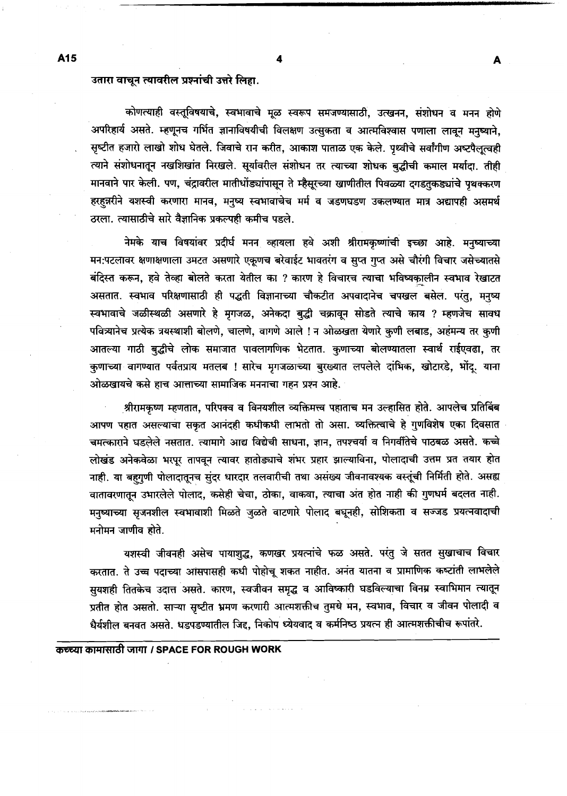## उतारा वाचून त्यावरील प्रश्नांची उत्तरे लिहा.

कोणत्याही वस्तूविषयाचे, स्वभावाचे मूळ स्वरूप समजण्यासाठी, उत्खनन, संशोधन व मनन होणे अपरिहार्य असते. म्हणूनच गर्भित ज्ञानाविषयीची विलक्षण उत्सुकता व आत्मविश्वास पणाला लावून मनुष्याने, सृष्टीत हजारो लाखो शोध घेतले. जिवाचे रान करीत, आकाश पाताळ एक केले. पृथ्वीचे सर्वांगीण अष्टपैलूत्वही त्याने संशोधनातून नखशिखांत निरखले. सूर्यावरील संशोधन तर त्याच्या शोधक बुद्धीची कमाल मर्यादा. तीही मानवाने पार केली. पण, चंद्रावरील मातीधोंड्यांपासून ते म्हैसूरच्या खाणीतील पिवळ्या दगडतुकड्यांचे पृथक्करण हरहन्नरीने यशस्वी करणारा मानव, मनृष्य स्वभावाचेच मर्म व जडणघडण उकलण्यात मात्र अद्यापही असमर्थ ठरला. त्यासाठीचे सारे वैज्ञानिक प्रकल्पही कमीच पडले.

नेमके याच विषयांवर प्रदीर्घ मनन व्हायला हवे अशी श्रीरामकृष्णांची इच्छा आहे. मनुष्याच्या मन:पटलावर क्षणाक्षणाला उमटत असणारे एकूणच बरेवाईट भावतरंग व सुप्त गुप्त असे चौरंगी विचार जसेच्यातसे बंदिस्त करून, हवे तेव्हा बोलते करता येतील का ? कारण हे विचारच त्याचा भविष्यकालीन स्वभाव रेखाटत असतात. स्वभाव परिक्षणासाठी ही पद्धती विज्ञानाच्या चौकटीत अपवादानेच चपखल बसेल. परंतु, मनुष्य स्वभावाचे जळीस्थळी असणारे हे मृगजळ, अनेकदा बुद्धी चक्रावून सोडते त्याचे काय ? म्हणजेच सावध पवित्र्यानेच प्रत्येक त्रयस्थाशी बोलणे, चालणे, वागणे आले ! न ओळखता येणारे कृणी लबाड, अहंमन्य तर कृणी आतल्या गाठी बुद्धीचे लोक समाजात पावलागणिक भेटतात. कुणाच्या बोलण्यातला स्वार्थ राईएवढा, तर कुणाच्या वागण्यात पर्वतप्राय मतलब ! सारेच मृगजळाच्या बुरख्यात लपलेले दांभिक, खोटारडे, भोंदू. याना ओळखायचे कसे हाच आत्ताच्या सामाजिक मननाचा गहन प्रश्न आहे.

श्रीरामकृष्ण म्हणतात, परिपक्व व विनयशील व्यक्तिमत्त्व पहाताच मन उल्हासित होते. आपलेच प्रतिबिंब आपण पहात असल्याचा सकृत आनंदही कधीकधी लाभतो तो असा. व्यक्तित्वाचे हे गुणविशेष एका दिवसात चमत्काराने घडलेले नसतात. त्यामागे आद्य विद्येची साधना, ज्ञान, तपश्चर्या व निगर्वीतेचे पाठबळ असते. कच्चे लोखंड अनेकवेळा भरपूर तापवून त्यावर हातोड्याचे शंभर प्रहार झाल्याविना, पोलादाची उत्तम प्रत तयार होत नाही. या बहगुणी पोलादातूनच सुंदर धारदार तलवारीची तथा असंख्य जीवनावश्यक वस्तूंची निर्मिती होते. असह्य वातावरणातून उभारलेले पोलाद, कसेही चेचा, ठोका, वाकवा, त्याचा अंत होत नाही की गुणधर्म बदलत नाही. मनुष्याच्या सृजनशील स्वभावाशी मिळते जुळते वाटणारे पोलाद बघूनही, सोशिकता व सञ्जड प्रयत्नवादाची मनोमन जाणीव होते.

यशस्वी जीवनही असेच पायाशुद्ध, कणखर प्रयत्नांचे फळ असते. परंतु जे सतत सुखाचाच विचार करतात. ते उच्च पदाच्या आसपासही कधी पोहोचू शकत नाहीत. अनंत यातना व प्रामाणिक कष्टांती लाभलेले सुयशही तितकेच उदात्त असते. कारण, स्वजीवन समृद्ध व आविष्कारी घडविल्याचा विनम्र स्वाभिमान त्यातून प्रतीत होत असतो. साऱ्या सृष्टीत भ्रमण करणारी आत्मशक्तीच तुमचे मन, स्वभाव, विचार व जीवन पोलादी व धैर्यशील बनवत असते. धडपडण्यातील जिद्द, निकोप ध्येयवाद व कर्मनिष्ठ प्रयत्न ही आत्मशक्तीचीच रूपांतरे.

कच्च्या कामासाठी जागा / SPACE FOR ROUGH WORK

Δ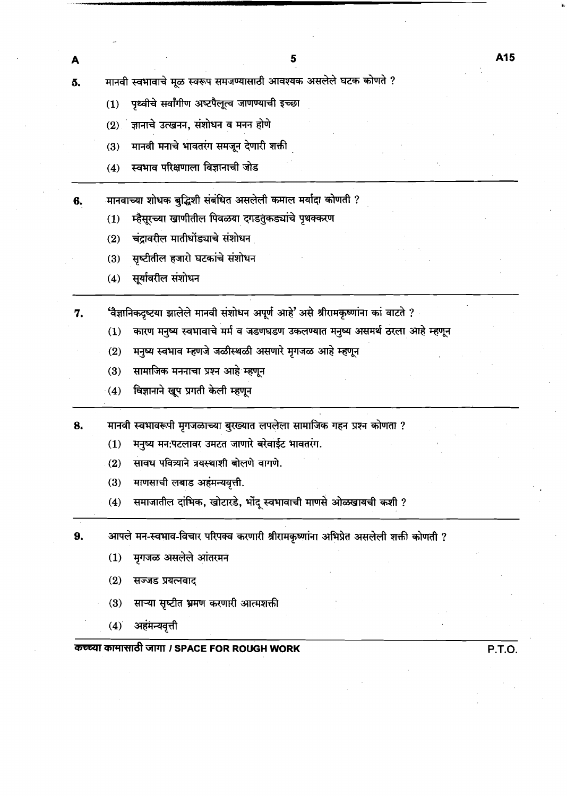- पृथ्वीचे सर्वांगीण अष्टपैलूत्व जाणण्याची इच्छा  $(1)$
- ज्ञानाचे उत्खनन, संशोधन व मनन होणे  $(2)$
- मानवी मनाचे भावतरंग समजून देणारी शक्ती  $(3)$
- स्वभाव परिक्षणाला विज्ञानाची जोड  $(4)$

मानवाच्या शोधक बुद्धिशी संबंधित असलेली कमाल मर्यादा कोणती ? 6.

- म्हैसूरच्या खाणीतील पिवळया दगडतुंकड्यांचे पृथक्करण  $(1)$
- चंद्रावरील मातीधोंड्याचे संशोधन  $(2)$
- सृष्टीतील हजारो घटकांचे संशोधन  $(3)$
- सूर्यावरील संशोधन  $(4)$

A

'वैज्ञानिकदृष्टया झालेले मानवी संशोधन अपूर्ण आहे' असे श्रीरामकृष्णांना का वाटते ? 7.

- कारण मनुष्य स्वभावाचे मर्म व जडणघडण उकलण्यात मनुष्य असमर्थ ठरला आहे म्हणून  $(1)$
- मनुष्य स्वभाव म्हणजे जळीस्थळी असणारे मृगजळ आहे म्हणून  $(2)$
- सामाजिक मननाचा प्रश्न आहे म्हणून  $(3)$
- विज्ञानाने खूप प्रगती केली म्हणून  $(4)$

मानवी स्वभावरूपी मृगजळाच्या बुरख्यात लपलेला सामाजिक गहन प्रश्न कोणता ? 8.

- मनुष्य मन:पटलावर उमटत जाणारे बरेवाईट भावतरंग.  $(1)$
- सावध पवित्र्याने त्रयस्थाशी बोलणे वागणे.  $(2)$
- माणसाची लबाड अहंमन्यवृत्ती.  $(3)$
- समाजातील दांभिक, खोटारडे, भोंदू स्वभावाची माणसे ओळखायची कशी ?  $(4)$

9. आपले मन-स्वभाव-विचार परिपक्व करणारी श्रीरामकृष्णांना अभिप्रेत असलेली शक्ती कोणती ?

- मृगजळ असलेले आंतरमन  $(1)$
- $(2)$ सज्जड प्रयत्नवाद
- साऱ्या सृष्टीत भ्रमण करणारी आत्मशक्ती  $(3)$
- अहंमन्यवृत्ती  $(4)$

कच्च्या कामासाठी जागा / SPACE FOR ROUGH WORK

P.T.O.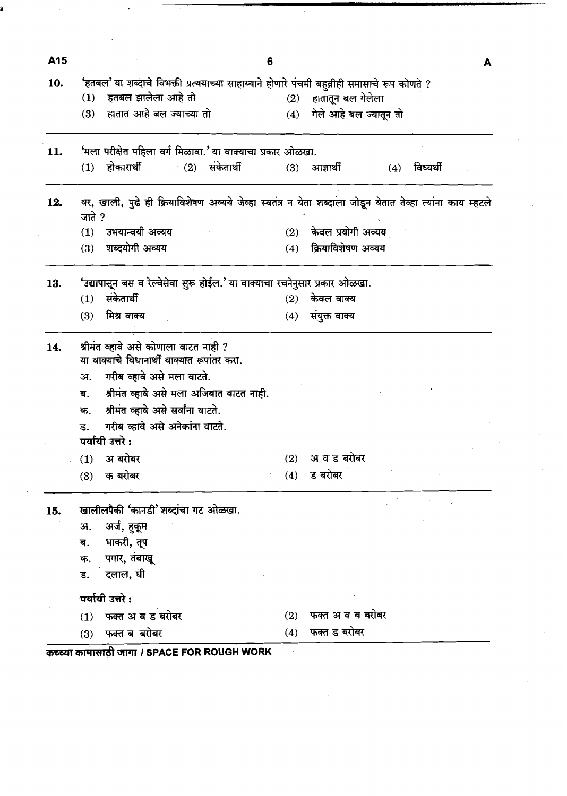| A15 |                                                                                              | 6   | A                                                                                                          |
|-----|----------------------------------------------------------------------------------------------|-----|------------------------------------------------------------------------------------------------------------|
| 10. | 'हतबल' या शब्दाचे विभक्ती प्रत्ययाच्या साहाय्याने होणारे पंचमी बहुव्रीही समासाचे रूप कोणते ? |     |                                                                                                            |
|     | ्हतबल झालेला आहे तो<br>(1)                                                                   | (2) | हातातून बल गेलेला                                                                                          |
|     | हातात आहे बल ज्याच्या तो<br>(3)                                                              | (4) | गेले आहे बल ज्यातून तो                                                                                     |
| 11. | 'मला परीक्षेत पहिला वर्ग मिळावा.' या वाक्याचा प्रकार ओळखा.                                   |     |                                                                                                            |
|     | (2) संकेतार्थी<br>होकारार्थी<br>(1)                                                          | (3) | आज्ञार्थी<br>विध्यर्थी<br>(4)                                                                              |
| 12. | जाते ?                                                                                       |     | वर, खाली, पुढे ही क्रियाविशेषण अव्यये जेव्हा स्वतंत्र न येता शब्दाला जोडून येतात तेव्हा त्यांना काय म्हटले |
|     | उभयान्वयी अव्यय<br>(1)                                                                       | (2) | केवल प्रयोगी अव्यय                                                                                         |
|     | शब्दयोगी अव्यय<br>(3)                                                                        | (4) | क्रियाविशेषण अव्यय                                                                                         |
| 13. | 'उद्यापासून बस व रेल्वेसेवा सुरू होईल.' या वाक्याचा रचनेनुसार प्रकार ओळखा.                   |     |                                                                                                            |
|     | $(1)$ संकेतार्थी                                                                             | (2) | केवल वाक्य                                                                                                 |
|     | मिश्र वाक्य<br>(3)                                                                           | (4) | संयुक्त वाक्य                                                                                              |
| 14. | श्रीमंत व्हावे असे कोणाला वाटत नाही ?<br>या वाक्याचे विधानार्थी वाक्यात रूपांतर करा.         |     |                                                                                                            |
|     | गरीब व्हावे असे मला वाटते.<br>अ.                                                             |     |                                                                                                            |
|     |                                                                                              |     |                                                                                                            |
|     | श्रीमंत व्हावे असे मला अजिबात वाटत नाही.<br>ब.                                               |     |                                                                                                            |
|     | श्रीमंत व्हावे असे सर्वांना वाटते.<br>क.<br>ड. गरीब व्हावे असे अनेकांना वाटते.               |     |                                                                                                            |
|     | पर्यायी उत्तरे :                                                                             |     |                                                                                                            |
|     | $(1)$ अबरोबर                                                                                 | (2) | अ व ड बरोबर                                                                                                |
|     | $(3)$ क बरोबर                                                                                | (4) | ड बरोबर                                                                                                    |
| 15. | खालीलपैकी 'कानडी' शब्दांचा गट ओळखा.                                                          |     |                                                                                                            |
|     | अर्ज, हुकूम<br>अ.                                                                            |     |                                                                                                            |
|     |                                                                                              |     |                                                                                                            |
|     | भाकरी, तूप<br>ब.                                                                             |     |                                                                                                            |
|     | पगार, तंबाखू<br>क.                                                                           |     |                                                                                                            |
|     | दलाल, घी<br>ड.                                                                               |     |                                                                                                            |
|     | पर्यायी उत्तरे:                                                                              |     |                                                                                                            |
|     | $(1)$ फक्त अब ड बरोबर                                                                        | (2) | फक्त अ व ब बरोबर                                                                                           |

 $\label{eq:2.1} \frac{1}{\sqrt{2}}\sum_{i=1}^n\frac{1}{\sqrt{2}}\sum_{i=1}^n\frac{1}{\sqrt{2}}\sum_{i=1}^n\frac{1}{\sqrt{2}}\sum_{i=1}^n\frac{1}{\sqrt{2}}\sum_{i=1}^n\frac{1}{\sqrt{2}}\sum_{i=1}^n\frac{1}{\sqrt{2}}\sum_{i=1}^n\frac{1}{\sqrt{2}}\sum_{i=1}^n\frac{1}{\sqrt{2}}\sum_{i=1}^n\frac{1}{\sqrt{2}}\sum_{i=1}^n\frac{1}{\sqrt{2}}\sum_{i=1}^n\frac$ 

 $\mathcal{L}_{\text{max}}$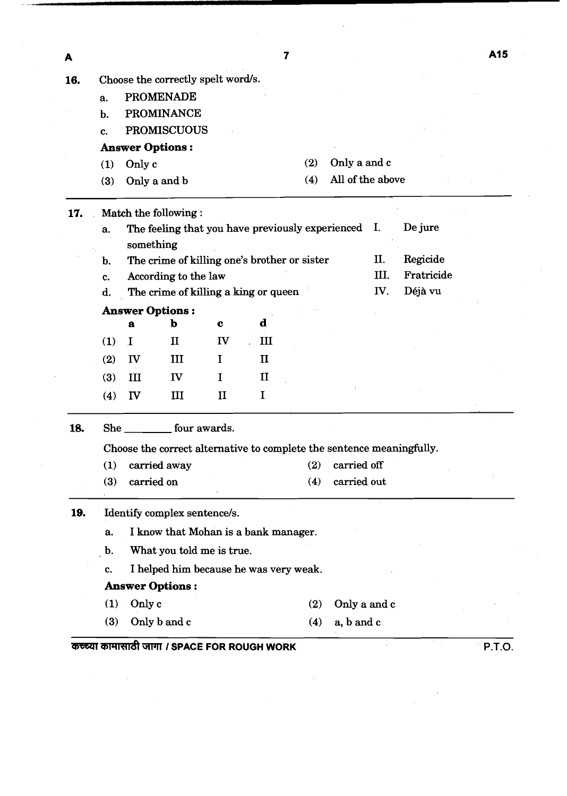A 16. Choose the correctly spelt word/s. a. PROMENADE b. PROMINANCE c. PROMISCUOUS **Answer Options** : **(1)** Only c (2) Only a and c (3) Only a and b (4) All of the above 17. Match the following : a. The feeling that you have previously experienced I. De jure something b. The crime of killing one's brother or sister II. Regicide c. According to the law 111. Fratricide d. The crime of killing a king or queen *IV*. Déjà vu **Answer Options** : **a b c d**  (1) I  $II$  IV  $III$ **(2)** I11 I I1 **IV**  $\mathbf{I}$  $(3)$  $III$  $\mathbf I$  $(4)$ IV  $III$  $II$  $\mathbf I$ 18. She four awards. Choose the correct alternative to complete the sentence meaningfully. (1) carried away (2) carried off (3) carried on (4) carried out 19. Identify complex sentence/s. a. I know that Mohan is a bank manager. b. What you told me is true. c. I helped him because he was very weak. **Answer Options** : (1) Only c (2) Only a and c (3) Only b and c **(4)** a, b and c *mjarr* **I SPACE FOR ROUGH WORK P.T.O.** 

 $\overline{7}$ 

A15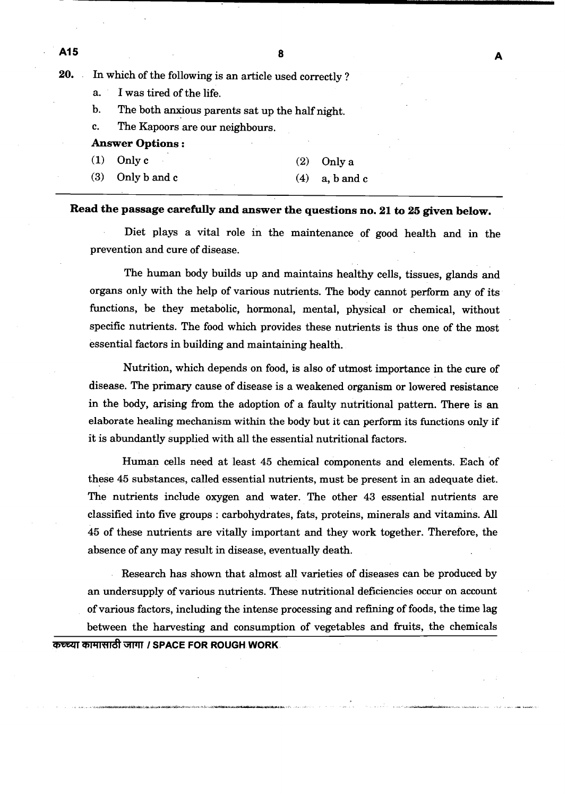**20.** In which of the following is an article used correctly ?

a. I was tired of the life.

b. The both anxious parents sat up the half night.

c. The Kapoors are our neighbours.

## **Answer Options** :

A15

- **(1)** Onlyc **(2)** Only a
- **(3)** Only b and c **(4)** a, b and c

## **Read the passage carefully and answer the questions no. 21 to 25 given below.**

Diet plays a vital role in the maintenance of good health and in the prevention and cure of disease.

The human body builds up and maintains healthy cells, tissues, glands and organs only with the help of various nutrients. The body cannot perform any of its functions, be they metabolic, hormonal, mental, physical or chemical, without specific nutrients. The food which provides these nutrients is thus one of the most essential factors in building and maintaining health.

Nutrition, which depends on food, is also of utmost importance in the cure of disease. The primary cause of disease is a weakened organism or lowered resistance in the body, arising from the adoption of a faulty nutritional pattern. There is an elaborate healing mechanism within the body but it can perform its functions only if it is abundantly supplied with all the essential nutritional factors.

Human cells need at least **45** chemical components and elements. Each of these **45** substances, called essential nutrients, must be present in an adequate diet. The nutrients include oxygen and water. The other **43** essential nutrients are classified into five groups : carbohydrates, fats, proteins, minerals and vitamins. All **45** of these nutrients are vitally important and they work together. Therefore, the absence of any may result in disease, eventually death.

Research has shown that almost all varieties of diseases can be produced by an undersupply of various nutrients. These nutritional deficiencies occur on account of various factors, including the intense processing and refining of foods, the time lag between the harvesting and consumption of vegetables and fruits, the chemicals **कच्च्या कामासाठी जागा / SPACE FOR ROUGH WORK**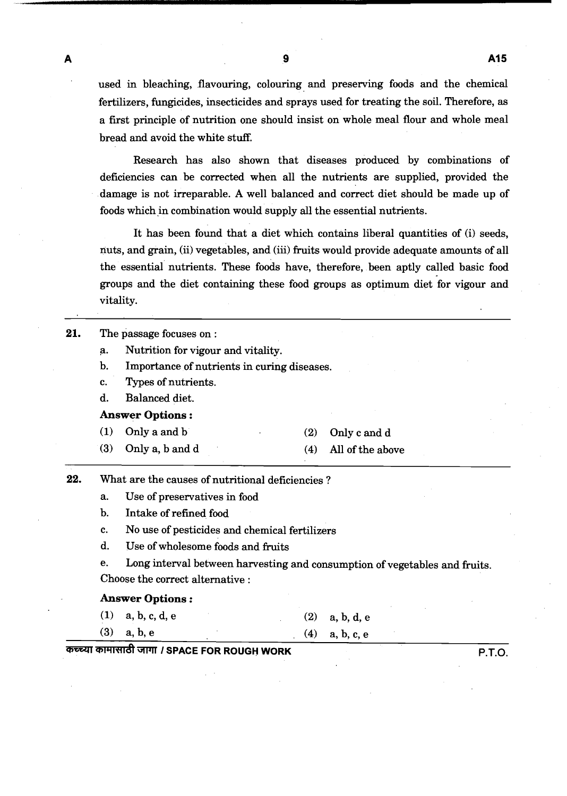$\blacktriangle$ 

used in bleaching, flavouring, colouring and preserving foods and the chemical fertilizers, fungicides, insecticides and sprays used for treating the soil. Therefore, as a first principle of nutrition one should insist on whole meal flour and whole meal bread and avoid the white stuff.

Research has also shown that diseases produced by combinations of deficiencies can be corrected when all the nutrients are supplied, provided the damage is not irreparable. A well balanced and correct diet should be made up of foods which in combination would supply all the essential nutrients.

It has been found that a diet which contains liberal quantities of (i) seeds, nuts, and grain, (ii) vegetables, and (iii) fruits would provide adequate amounts of all the essential nutrients. These foods have, therefore, been aptly called basic food groups and the diet containing these food groups as optimum diet for vigour and vitality.

| 21. |                         | The passage focuses on:                                                                                                                      |     |                                                                            |
|-----|-------------------------|----------------------------------------------------------------------------------------------------------------------------------------------|-----|----------------------------------------------------------------------------|
|     | a.                      | Nutrition for vigour and vitality.                                                                                                           |     |                                                                            |
|     | b.                      | Importance of nutrients in curing diseases.                                                                                                  |     |                                                                            |
|     | c.                      | Types of nutrients.                                                                                                                          |     |                                                                            |
|     | d.                      | Balanced diet.                                                                                                                               |     |                                                                            |
|     |                         | <b>Answer Options:</b>                                                                                                                       |     |                                                                            |
|     | (1)                     | Only a and b                                                                                                                                 | (2) | Only c and d                                                               |
|     | (3)                     | Only a, b and d                                                                                                                              | (4) | All of the above                                                           |
|     | $b$ .<br>c.<br>d.<br>e. | Use of preservatives in food<br>Intake of refined food<br>No use of pesticides and chemical fertilizers<br>Use of wholesome foods and fruits |     | Long interval between harvesting and consumption of vegetables and fruits. |
|     |                         | Choose the correct alternative :                                                                                                             |     |                                                                            |
|     |                         | <b>Answer Options:</b>                                                                                                                       |     |                                                                            |
|     | (1)                     | a, b, c, d, e                                                                                                                                | (2) | a, b, d, e                                                                 |
|     | (3)                     | a, b, e                                                                                                                                      | (4) | a, b, c, e                                                                 |

**cnlYlnldl WT I SPACE FOR ROUGH WORK P.T.O.**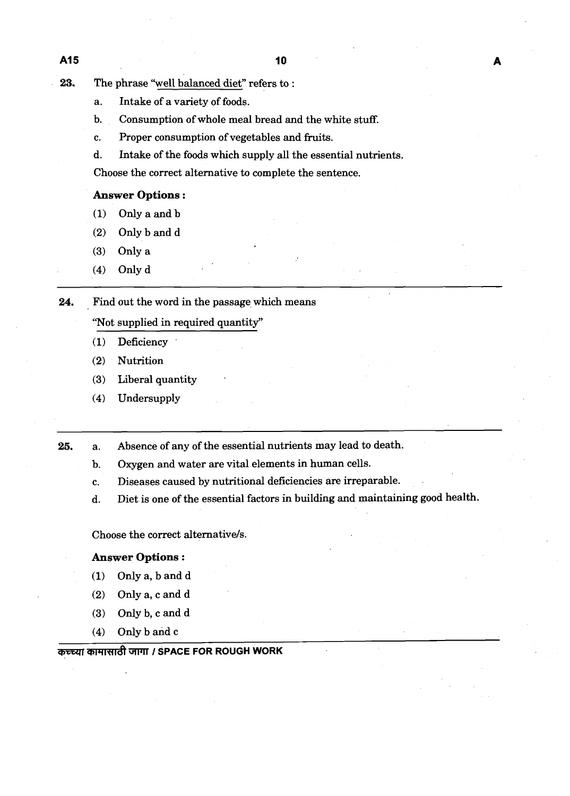- **23.** The phrase "well balanced diet" refers to :
	- a. Intake of a variety of foods.
	- b. Consumption of whole meal bread and the white stuff.
	- c. Proper consumption of vegetables and fruits.
	- d. Intake of the foods which supply all the essential nutrients.

Choose the correct alternative to complete the sentence.

## **Answer Options** :

- **(1)** Only a and b
- **(2)** Only b and d
- (3) Only a
- **(4)** Only d

24. Find out the word in the passage which means

"Not supplied in required quantity"

- **(1)** Deficiency '
- (2) Nutrition
- (3) Liberal quantity .
- **(4)** Undersupply

**25.** a. Absence of any of the essential nutrients may lead to death.

- b. Oxygen and water are vital elements in human cells.
- c. Diseases caused by nutritional deficiencies are irreparable.
- d. Diet is one of the essential factors in building and maintaining good health.

Choose the correct alternative/s.

## **Answer Options** :

- **(1)** Only a, b and d
- **(2)** Only a, c and d
- **(3)** Only b, c and d
- **(4)** Only b and c

## कच्च्या कामासाठी जागा / SPACE FOR ROUGH WORK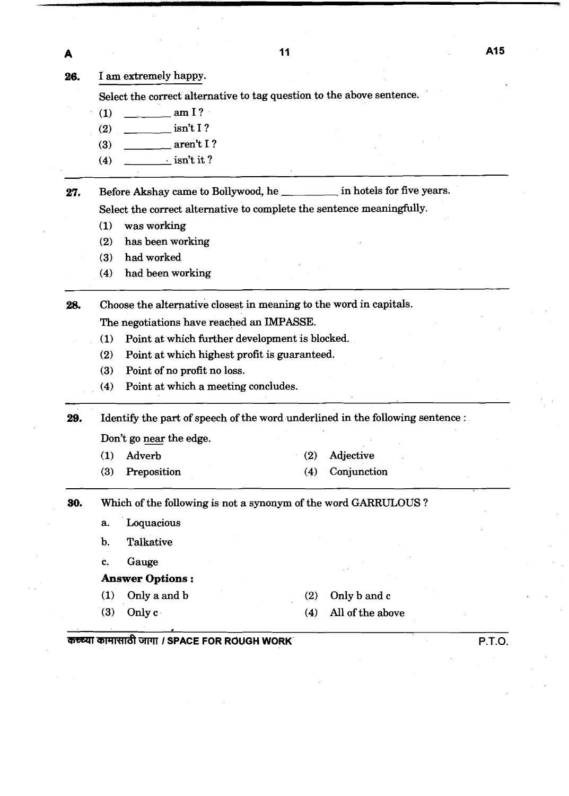$11$ 

A

26. I am extremely happy.

Select the correct alternative to tag question to the above sentence.

- $(1)$   $\qquad \qquad \text{am I?}$
- **(2)** isn't I ?
- (3) \_\_\_\_\_\_\_\_\_ aren't I?
- (4)  $\frac{\cdot}{\cdot}$  isn't it ?

27. Before Akshay came to Bollywood, he in hotels for five years.

Select the correct alternative to complete the sentence meaningfully.

- (1) was working
- (2) has been working
- **(3)** had worked

--

(4) had been working

**28.** Choose the alternative closest in meaning to the word in capitals.

The negotiations have reached an IMPASSE.

- (1) Point at which further development is blocked.
- (2) Point at which highest profit is guaranteed.
- (3) Point of no profit no loss.
- (4) Point at which a meeting concludes.

**29.** Identify the part of speech of the word underlined in the following sentence : The state which a metal<br>Identify the part of speed<br>Don't go near the edge.

- (1) Adverb
- **(3)** Preposition
- (2) Adjective (4) Conjunction
- **30.** Which of the following is not a synonym of the word GARRULOUS ?
	- a. Loquacious
	- b. Talkative
	- c. Gauge
	- **Answer** Options :
	- (1) Only a and b
	- (3) Only  $c \cdot$
- **(2)** Only b and c
- (4) All of the above

#### **0**  M WWdI **I SPACE FOR ROUGH WORK P.T.O.**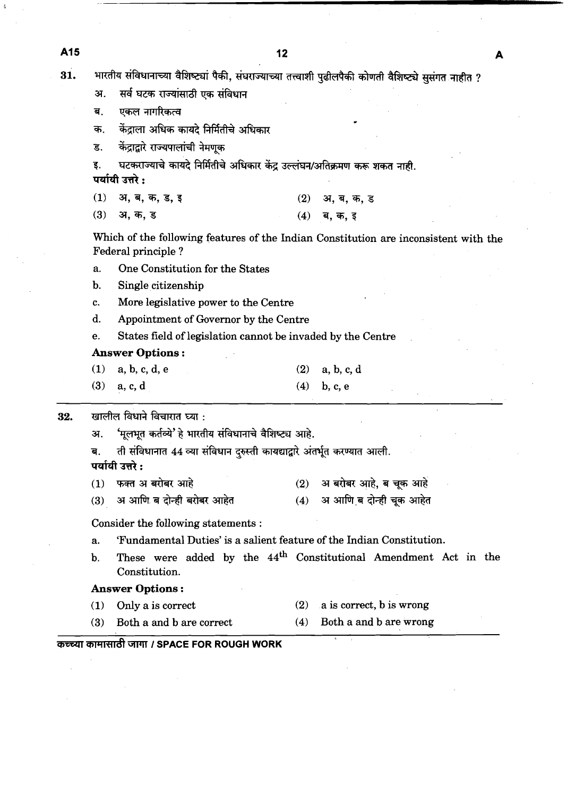A<sub>15</sub>  $12$ A भारतीय संविधानाच्या वैशिष्ट्यां पैकी, संघराज्याच्या तत्त्वाशी पुढीलपैकी कोणती वैशिष्ट्ये सुसंगत नाहीत ? 31. सर्व घटक राज्यांसाठी एक संविधान अ. एकल नागरिकत्व ब. क. केंद्राला अधिक कायदे निर्मितीचे अधिकार केंद्राद्वारे राज्यपालांची नेमणुक ड. घटकराज्याचे कायदे निर्मितीचे अधिकार केंद्र उल्लंघन/अतिक्रमण करू शकत नाही. इ. पर्यायी उत्तरे :  $(1)$ अ, ब, क, ड, इ  $(2)$ अ, ब, क, ड अ, क, ड  $(3)$  $(4)$ ब. क. इ Which of the following features of the Indian Constitution are inconsistent with the Federal principle ? a. One Constitution for the States b. Single citizenship c. More legislative power to the Centre d. Appointment of Governor by the Centre e. States field of legislation cannot be invaded by the Centre **Answer Options** : **(1)** a, **b,** c, d, e **(2)** a, b, c, d **(3)** a, c, d **(4)** b, c, e खालील विधाने विचारात घ्या : 32. 'मूलभूत कर्तव्ये' हे भारतीय संविधानाचे वैशिष्ट्य आहे. 31. ती संविधानात 44 व्या संविधान दुरुस्ती कायद्याद्वारे अंतर्भूत करण्यात आली. ब. पर्यायी उत्तरे: फक्त अ बरोबर आहे  $(2)$ अ बरोबर आहे, ब चूक आहे  $(1)$ अ आणि ब दोन्ही चूक आहेत अ आणि ब दोन्ही बरोबर आहेत  $(3)$  $(4)$ Consider the following statements : a. 'Fundamental Duties' is a salient feature of the Indian Constitution. b. These were added by the **44th** Constitutional Amendment Act in the Constitution. **(1)** Only a is correct **(2)** a is correct, b is wrong (3) Both a and b are correct **(4)** Both a and b are wrong  $\overline{\mathbf{H}}$ **Answer Options** : **(1)** Only a is correct **(2)** a is correct, b is wrong **i** : कच्च्या कामासाठी जागा *।* SPACE FOR ROUGH WORK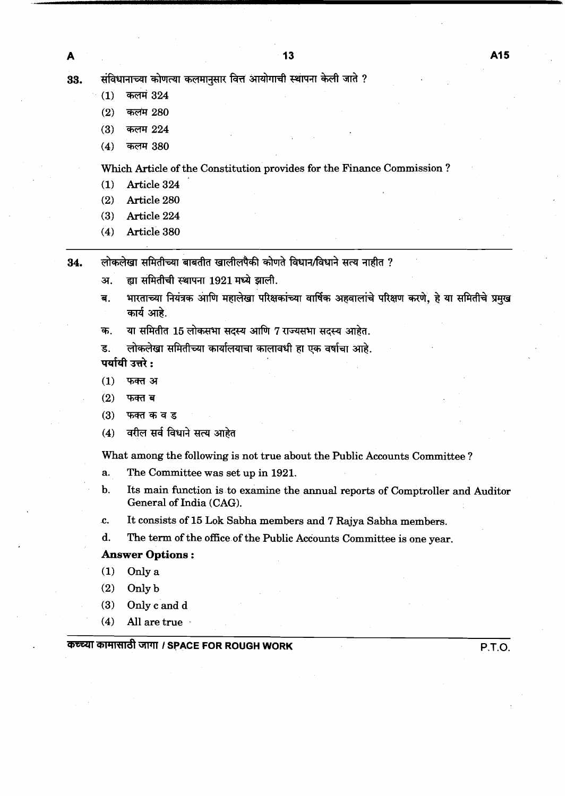संविधानाच्या कोणत्या कलमानुसार वित्त आयोगाची स्थापना केली जाते ? 33.

- $(1)$ **कलमं 324**
- कलम 280  $(2)$
- $(3)$ कलम 224
- $(4)$ कलम 380

Which Article of the Constitution provides for the Finance Commission ?

- **(1)** Article **324**
- **(2)** Article **280**
- **(3)** Article **224**
- **(4)** Article **380**
- लोकलेखा समितीच्या बाबतीत खालीलपैकी कोणते विधान/विधाने सत्य नाहीत ? 34.
	- ह्या समितीची स्थापना 1921 मध्ये झाली. अ.
	- भारताच्या नियंत्रक आणि महालेखा परिक्षकांच्या वार्षिक अहवालांचे परिक्षण करणे, हे या समितीचे प्रमुख ब. कार्य आहे.
	- या समितीत 15 लोकसभा सदस्य आणि 7 राज्यसभा सदस्य आहेत. क.

ड. लोकलेखा समितीच्या कार्यालयाचा कालावधी हा एक वर्षाचा आहे.

पर्यायी उत्तरे:

- फक्त अ  $(1)$
- $(2)$ फक्त ब
- $(3)$ फक्त क व ड
- वरील सर्व विधाने सत्य आहेत  $(4)$

What among the following is not true about the Public Accounts Committee ?

- a. The Committee was set up in **1921.**
- b. Its main function is to examine the annual reports of Comptroller and Auditor General of India (CAG).
- **c.** It consists of **15** Lok Sabha members and 7 Rajya Sabha members.
- d. The term of the office of the Public Accounts Committee is one year.

#### **Answer Options** :

- **(1)** Only a
- **(2)** Only b
- **(3)** Only c and d
- **(4)** All are true .

## **svull t SPACE FOR ROUGH WORK P.T.O.**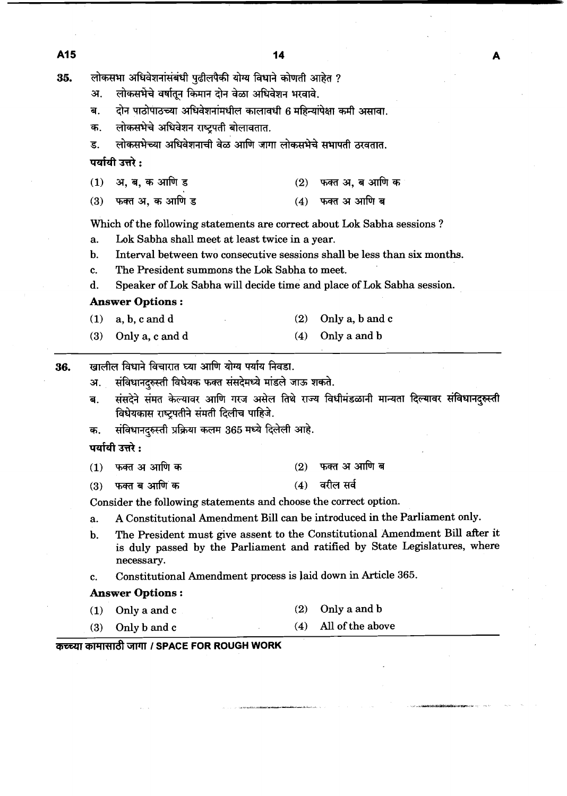लोकसभा अधिवेशनांसंबंधी पुढीलपैकी योग्य विधाने कोणती आहेत ? 35.

- लोकसभेचे वर्षातुन किमान दोन वेळा अधिवेशन भरवावे. अ.
- दोन पाठोपाठच्या अधिवेशनांमधील कालावधी 6 महिन्यांपेक्षा कमी असावा. ਕ.
- लोकसभेचे अधिवेशन राष्ट्रपती बोलावतात. क.
- लोकसभेच्या अधिवेशनाची वेळ आणि जागा लोकसभेचे सभापती ठरवतात.  $\overline{\mathbf{S}}$ .
- पर्यायी उत्तरे :
- $(1)$ अ. ब. क आणि ड फक्त अ, ब आणि क  $(2)$
- फक्त अ. क आणि ड  $(3)$ (4) फक्त अ आणि ब

Which of the following statements are correct about Lok Sabha sessions ?

- a. Lok Sabha shall meet at least twice in a year.
- b. Interval between two consecutive sessions shall be less than six months.
- c. The President summons the Lok Sabha to meet.
- d. Speaker of Lok Sabha will decide time and place of Lok Sabha session.

## **Answer Options** :

- **(1)** a, b, c and d **(2)** Only a, b and c
- **(3)** Only a, c and d **(4)** Only a and b
- खालील विधाने विचारात घ्या आणि योग्य पर्याय निवडा. 36.
	- संविधानदरुस्ती विधेयक फक्त संसदेमध्ये मांडले जाऊ शकते. अ.
	- संसदेने संमत केल्यावर आणि गरज असेल तिथे राज्य विधीमंडळानी मान्यता दिल्यावर संविधानदुरुस्ती ब. विधेयकास राष्ट्रपतीने संमती दिलीच पाहिजे.
	- संविधानदुरुस्ती प्रक्रिया कलम 365 मध्ये दिलेली आहे. क.

## पर्यायी उत्तरे:

- $(2)$  फक्त अ आणि ब फक्त अ आणि क  $(1)$
- फक्त ब आणि क  $(3)$
- $(4)$  वरील सर्व
- Consider the following statements and choose the correct option.
- a. A Constitutional Amendment Bill can be introduced in the Parliament only.
- **b.** The President must give assent to the Constitutional Amendment Bill after it is duly passed by the Parliament and ratified by State Legislatures, where necessary.
- c. Constitutional Amendment process is laid down in Article **365.**

#### **Answer Options** :

- **(1)** Only a and c (2) Only a and b
- **(3)** Only b and c **(4)** All of the above

## **कच्च्या कामासाठी जागा / SPACE FOR ROUGH WORK**

A15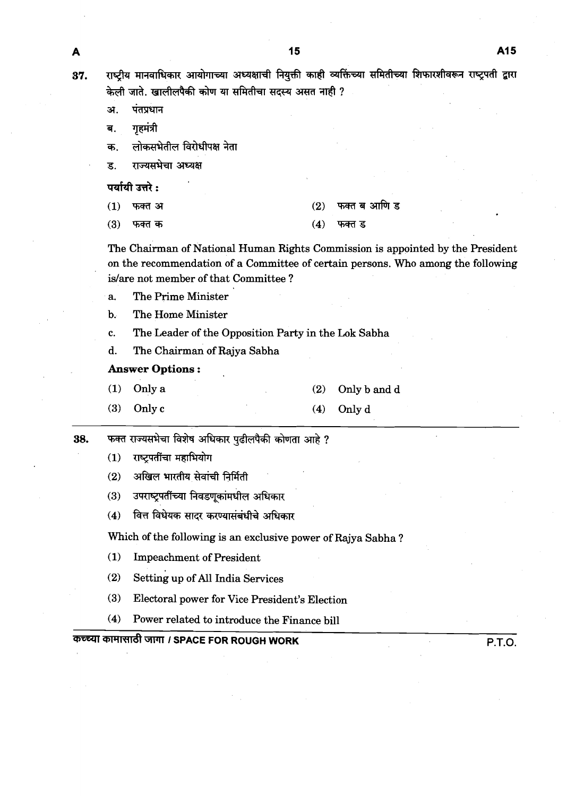राष्ट्रीय मानवाधिकार आयोगाच्या अध्यक्षाची नियुक्ती काही व्यक्तिंच्या समितीच्या शिफारशीवरून राष्ट्रपती द्वारा केली जाते. खालीलपैकी कोण या समितीचा सदस्य असत नाही ?

- अ. पंतप्रधान
- गृहमंत्री ब.
- लोकसभेतील विरोधीपक्ष नेता क.
- राज्यसभेचा अध्यक्ष **ड**.

पर्यायी उत्तरे :

- फक्त अ  $(1)$
- $(3)$ फक्त क

फक्त ब आणि ड  $(2)$ 

फक्त ड

The Chairman of National Human Rights Commission is appointed by the President on the recommendation of a Committee of certain persons. Who among the following islare not member of that Committee ?

 $(4)$ 

- a. The Prime Minister
- b. The Home Minister
- c. The Leader of the Opposition Party in the Lok Sabha
- d. The Chairman of Rajya Sabha

## **Answer Options** :

- (1) Only a (2) Onlyb andd
- **(3)** Only c (4) Only d
- फक्त राज्यसभेचा विशेष अधिकार पुढीलपैकी कोणता आहे ? 38.
	- राष्टपतींचा महाभियोग  $(1)$
	- $(2)$ अखिल भारतीय सेवांची निर्मिती
	- उपराष्ट्रपतींच्या निवडणूकांमधील अधिकार  $(3)$
	- वित्त विधेयक सादर करण्यासंबंधीचे अधिकार  $(4)$

Which of the following is an exclusive power of Rajya Sabha ?

- ( 1) Impeachment of President
- (2) setting up of All India Services
- (3) Electoral power for Vice President's Election
- **(4)** Power related to introduce the Finance bill

# कच्च्या कामासाठी जागा / SPACE FOR ROUGH WORK P.T.O.

A

37.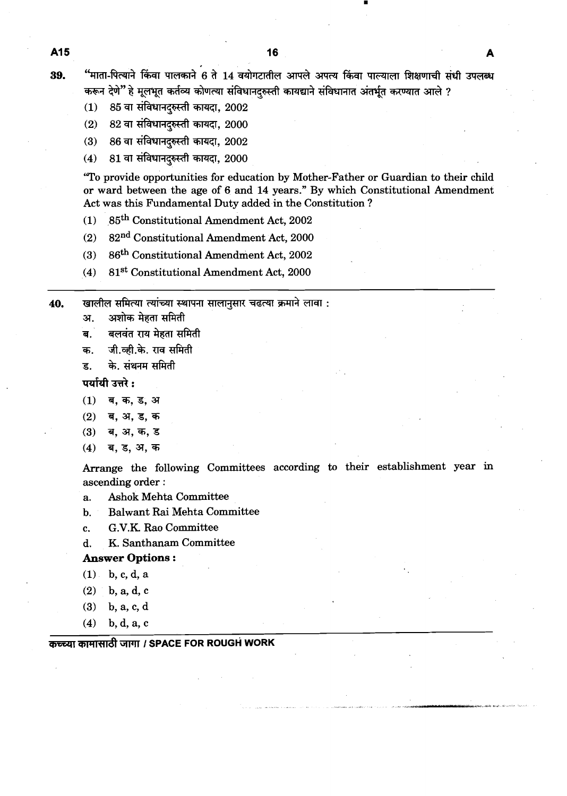"माता-पित्याने किंवा पालकाने 6 ते 14 वयोगटातील आपले अपत्य किंवा पाल्याला शिक्षणाची संधी उपलब्ध 39. करून देणे" हे मूलभूत कर्तव्य कोणत्या संविधानदुरुस्ती कायद्याने संविधानात अंतर्भूत करण्यात आले ?

- 85 वा संविधानदरुस्ती कायदा, 2002  $(1)$
- 82 वा संविधानदुरुस्ती कायदा, 2000  $(2)$
- $86$  वा संविधानदुरुस्ती कायदा,  $2002$  $(3)$
- 81 वा संविधानदरुस्ती कायदा, 2000  $(4)$

'To provide opportunities for education by Mother-Father or Guardian to their child or ward between the age of 6 and **14** years." By which Constitutional Amendment Act was this Fundamental Duty added in the Constitution ?

- **(1)** Constitutional Amendment Act, **2002**
- **(2) ~2"~** Constitutional Amendment Act, **2000**
- **(3)** Constitutional Amendment Act, **2002**
- **(4) 8lSt** Constitutional Amendment Act, **2000**
- खालील समित्या त्यांच्या स्थापना सालानुसार चढत्या क्रमाने लावा : 40.
	- अशोक मेहता समिती अ.
	- बलवंत राय मेहता समिती .<br>ब
	- जी.व्ही.के. राव समिती क.
	- के. संथनम समिती ड.

पर्यायी उत्तरे :

- ब, क, ड, अ  $(1)$
- $(2)$ ब, अ, ड, क
- $(3)$ ब, अ, क, ड
- ब, ड, अ, क  $(4)$

Arrange the following Committees according to their establishment year in ascending order :

a. Ashok Mehta Committee

- b. Balwant Rai Mehta Committee
- c. G.V.K Rao Committee
- d. K. Santhanam Committee

## **Answer** Options :

- **(1)** b, c, d, a
- **(2)** b, a, **d,** c
- **(3)** b, a, c, d
- **(4)** b, d, a, c

**कच्च्या कामासाठी जागा / SPACE FOR ROUGH WORK** 

A<sub>15</sub>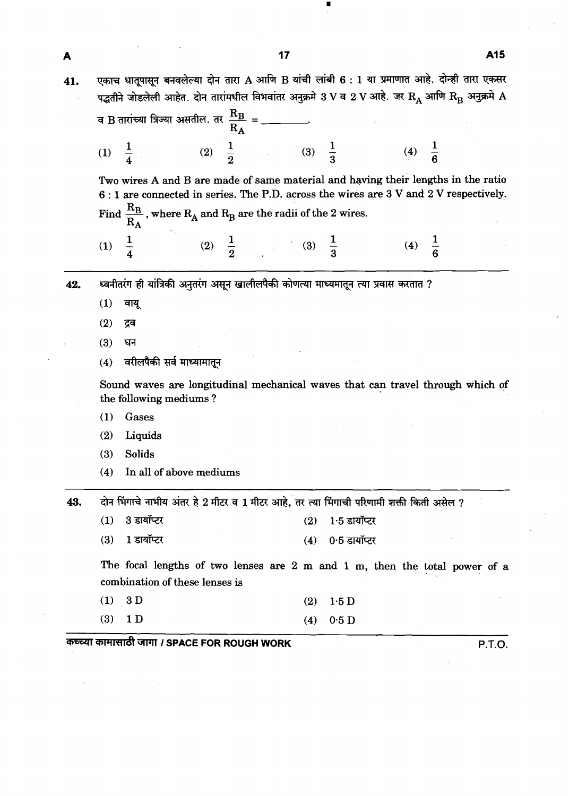|     | A15<br>17                                                                                                                                                                                                                                                  |  |
|-----|------------------------------------------------------------------------------------------------------------------------------------------------------------------------------------------------------------------------------------------------------------|--|
| l1. | एकाच धातूपासून बनवलेल्या दोन तारा A आणि B यांची लांबी 6 : 1 या प्रमाणात आहे. दोन्ही तारा एकसर<br>पद्धतीने जोडलेली आहेत. दोन तारांमधील विभवांतर अनुक्रमे 3 V व 2 V आहे. जर $\rm R_A$ आणि $\rm R_B$ अनुक्रमे $\rm A$                                         |  |
|     | व B तारांच्या त्रिज्या असतील. तर $\frac{R_B}{R_A} =$ _______.                                                                                                                                                                                              |  |
|     | (2) $\frac{1}{2}$ (3) $\frac{1}{3}$ (4) $\frac{1}{6}$<br>(1) $\frac{1}{4}$                                                                                                                                                                                 |  |
|     | Two wires A and B are made of same material and having their lengths in the ratio<br>6: 1 are connected in series. The P.D. across the wires are 3 V and 2 V respectively.<br>Find $\frac{R_B}{R_A}$ , where $R_A$ and $R_B$ are the radii of the 2 wires. |  |
|     | (4) $\frac{1}{6}$<br>(2) $\frac{1}{2}$ (3) $\frac{1}{3}$<br>$\frac{1}{4}$<br>(1)                                                                                                                                                                           |  |
| 42. | ध्वनीतरंग ही यांत्रिकी अनुतरंग असून खालीलपैकी कोणत्या माध्यमातून त्या प्रवास करतात ?                                                                                                                                                                       |  |
|     | (1)<br>वायू                                                                                                                                                                                                                                                |  |
|     | (2)<br>द्रव                                                                                                                                                                                                                                                |  |
|     | (3)<br>घन                                                                                                                                                                                                                                                  |  |
|     | वरीलपैकी सर्व माध्यामातून<br>(4)                                                                                                                                                                                                                           |  |
|     | Sound waves are longitudinal mechanical waves that can travel through which of<br>the following mediums?                                                                                                                                                   |  |
|     | (1)<br>Gases                                                                                                                                                                                                                                               |  |
|     | (2)<br>Liquids                                                                                                                                                                                                                                             |  |
|     | Solids<br>(3)                                                                                                                                                                                                                                              |  |
|     | In all of above mediums<br>(4)                                                                                                                                                                                                                             |  |
| 43. | दोन भिंगाचे नाभीय अंतर हे 2 मीटर व 1 मीटर आहे, तर त्या भिंगाची परिणामी शक्ती किती असेल ?                                                                                                                                                                   |  |
|     | 3 डायॉप्टर<br>$1.5$ डायॉप्टर<br>(1)<br>(2)                                                                                                                                                                                                                 |  |
|     | 1 डायॉप्टर<br>0.5 डायॉप्टर<br>(3)<br>(4)                                                                                                                                                                                                                   |  |
|     | The focal lengths of two lenses are 2 m and 1 m, then the total power of a<br>combination of these lenses is                                                                                                                                               |  |

| (1) 3D    |  | $(2)$ 1.5 D |
|-----------|--|-------------|
| $(3)$ 1 D |  | $(4)$ 0.5 D |

**V=Wl 1 SPACE FOR ROUGH WORK P.T.O.** 

П

 $\overline{\mathbf{4}}$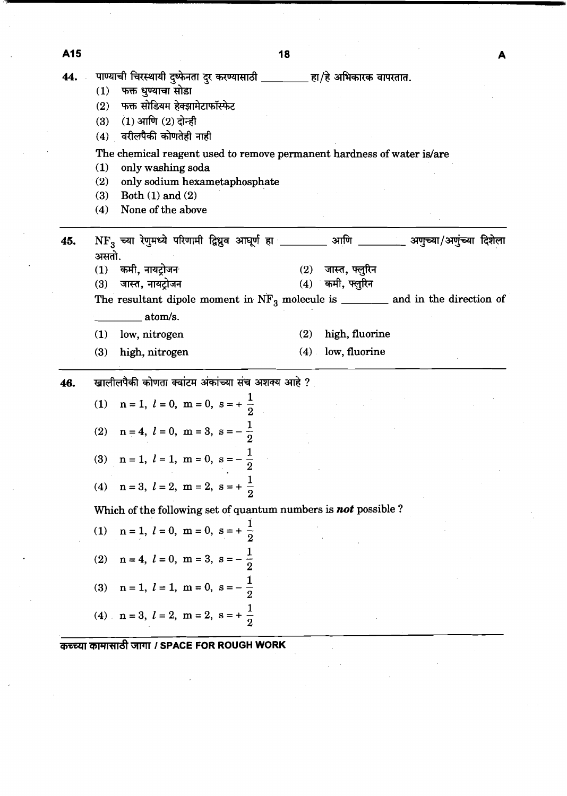|     |                                                                                                           | ıσ      |                    | A |
|-----|-----------------------------------------------------------------------------------------------------------|---------|--------------------|---|
| 44. | पाण्याची चिरस्थायी दुष्फेनता दुर करण्यासाठी ________ हा/हे अभिकारक वापरतात.<br>फक्त धुण्याचा सोडा<br>(1)  |         |                    |   |
|     | (2) फक्त सोडियम हेक्झामेटाफॉस्फेट                                                                         |         |                    |   |
|     | (1) आणि (2) दोन्ही<br>(3)                                                                                 |         |                    |   |
|     | वरीलपैकी कोणतेही नाही<br>(4)                                                                              |         |                    |   |
|     | The chemical reagent used to remove permanent hardness of water is/are                                    |         |                    |   |
|     | (1)<br>only washing soda                                                                                  |         |                    |   |
|     | (2)<br>only sodium hexametaphosphate                                                                      |         |                    |   |
|     | Both $(1)$ and $(2)$<br>(3)                                                                               |         |                    |   |
|     | None of the above<br>(4)                                                                                  |         |                    |   |
| 45. | $NF_3$ च्या रेणुमध्ये परिणामी द्विध्रुव आधूर्ण हा _________ आणि ________ अणुच्या/अणुंच्या दिशेला<br>असतो. |         |                    |   |
|     | (1) कमी, नायट्रोजन                                                                                        |         | (2) जास्त, फ्लुरिन |   |
|     | जास्त, नायट्रोजन<br>(3)                                                                                   |         | $(4)$ कमी, फ्लुरिन |   |
|     | The resultant dipole moment in $NF_3$ molecule is _______ and in the direction of                         |         |                    |   |
|     | atom/s.                                                                                                   |         |                    |   |
|     | low, nitrogen<br>(1)                                                                                      | (2)     | high, fluorine     |   |
|     | (3)<br>high, nitrogen                                                                                     | $(4)$ . | low, fluorine      |   |
| 46. | खालीलपैकी कोणता क्वांटम अंकांच्या संच अशक्य आहे ?                                                         |         |                    |   |
|     | (1) $n = 1, l = 0, m = 0, s = +\frac{1}{2}$                                                               |         |                    |   |
|     | (2) $n = 4$ , $l = 0$ , $m = 3$ , $s = -\frac{1}{2}$                                                      |         |                    |   |
|     | (3) $n = 1, l = 1, m = 0, s = -\frac{1}{2}$                                                               |         |                    |   |
|     | $n = 3, l = 2, m = 2, s = +\frac{1}{2}$<br>(4)                                                            |         |                    |   |
|     | Which of the following set of quantum numbers is not possible?                                            |         |                    |   |
|     | $n = 1, l = 0, m = 0, s = +\frac{1}{2}$<br>$\left(1\right)$                                               |         |                    |   |
|     | $n = 4, l = 0, m = 3, s = -\frac{1}{2}$<br>(2)                                                            |         |                    |   |
|     | $n = 1, l = 1, m = 0, s = -\frac{1}{2}$<br>(3)                                                            |         |                    |   |
|     | (4) $n = 3, l = 2, m = 2, s = +\frac{1}{2}$                                                               |         |                    |   |

**TFliTd WT I SPACE FOR ROUGH WORK** 

**A15** 

 $\blacksquare$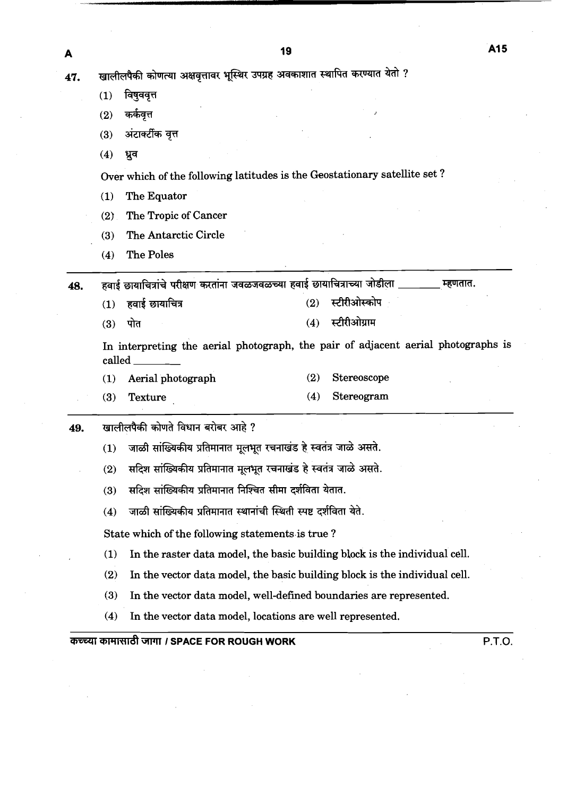1**7.** खालीलपैकी कोणत्या अक्षवृत्तावर भूस्थिर उपग्रह अवकाशात स्थापित करण्यात यता ? (2) \* **<sup>J</sup>** <sub>शलीलपैकी कोणत्या अक्षवृत्ता<br>1) विषुववृत्त<br>2) कर्कवृत्त<br>3) अंटार्क्टीक वृत्त<br>4) ध्रुव</sub>

- $(1)$  विषुववृत्त
- 
- 
- (4) *g7*

Over which of the following latitudes is the Geostationary satellite set ?

- (1) The Equator
- (2) The Tropic of Cancer
- (3) The Antarctic Circle
- (4) The Poles

हवाई छायाचित्रांचे परीक्षण करतांना जवळजवळच्या हवाई छायाचित्राच्या जोडीला **म्हणतात.** 48.

हवाई छायाचित्र  $(1)$ 

- स्टीरीओस्कोप  $(2)$
- स्टीरीओग्राम पोत  $(4)$  $(3)$

In interpreting the aerial photograph, the pair of adjacent aerial photographs is called

- (1) Aerial photograph (2) Stereoscope
- (3) Texture (4) Stereogram
- 49. खालीलपैकी कोणते विधान बरोबर आहे ?
	- $(1)$  जाळी सांख्यिकीय प्रतिमानात मूलभूत रचनाखंड हे स्वतंत्र जाळे असते.
	- <u>(2) सदिश सांख्यिकीय प्रतिमानात मूलभूत रचनाखंड हे स्वतंत्र जाळे असते.</u>
	- (3) सदिश सांख्यिकीय प्रतिमानात निश्चित सीमा दर्शविता येतात.
	- (4) जाळी सांख्यिकीय प्रतिमानात स्थानांची स्थिती स्पष्ट दर्शविता येते.

State which of the following statements is true ?

- (1) In the raster data model, the basic building block is the individual cell.
- **(2)** In the vector data model, the basic building block is the individual cell.
- (3) In the vector data model, well-defined boundaries are represented.
- (4) In the vector data model, locations are well represented.

## WlWd **I SPACE FOR ROUGH WORK P.T.O.**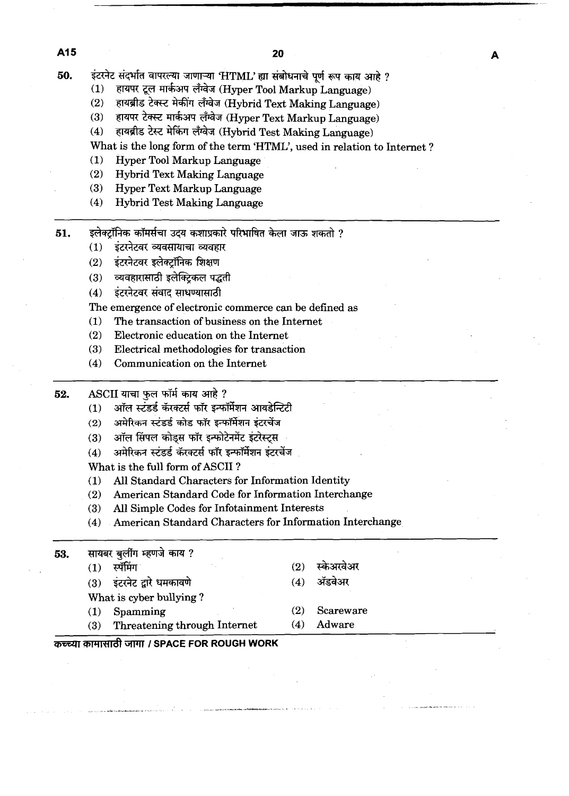50. इंटरनेट संदर्भात वापरल्या जाणाऱ्या 'HTML' ह्या संबोधनाचे पूर्ण रूप काय आहे ?

- हायपर टूल मार्कअप लँग्वेज (Hyper Tool Markup Language)  $(1)$
- हायब्रीड टेक्स्ट मेकींग लँग्वेज (Hybrid Text Making Language)  $(2)$
- हायपर टेक्स्ट मार्कअप लॅंग्वेज (Hyper Text Markup Language)  $(3)$
- हायब्रीड टेस्ट मेकिंग लँग्वेज (Hybrid Test Making Language)  $(4)$
- What is the long form of the term 'HTML', used in relation to Internet?
- Hyper Tool Markup Language  $(1)$
- $(2)$ Hybrid Text Making Language
- $(3)$ **Hyper Text Markup Language**
- $(4)$ **Hybrid Test Making Language**
- इलेक्टॉनिक कॉमर्सचा उदय कशाप्रकारे परिभाषित केला जाऊ शकतो ? 51.
	- इंटरनेटवर व्यवसायाचा व्यवहार  $(1)$
	- इंटरनेटवर इलेक्टॉनिक शिक्षण  $(2)$
	- व्यवहारासाठी इलेक्टिकल पद्धती  $(3)$
	- इंटरनेटवर संवाद साधण्यासाठी  $(4)$

The emergence of electronic commerce can be defined as

- The transaction of business on the Internet  $(1)$
- $(2)$ Electronic education on the Internet
- $(3)$ Electrical methodologies for transaction
- Communication on the Internet  $(4)$
- 52. ASCII याचा फूल फॉर्म काय आहे?
	- ऑल स्टंडर्ड कॅरक्टर्स फॉर इन्फॉर्मेशन आयडेन्टिटी  $(1)$
	- अमेरिकन स्टंडर्ड कोड फॉर इन्फॉर्मेशन इंटरचेंज  $(2)$
	- ऑल सिंपल कोड्स फॉर इन्फोटेनमेंट इंटरेस्ट्स  $(3)$
	- अमेरिकन स्टंडर्ड कॅरक्टर्स फॉर इन्फॉर्मेशन इंटरचेंज  $(4)$

What is the full form of ASCII?

- All Standard Characters for Information Identity  $(1)$
- American Standard Code for Information Interchange  $(2)$
- All Simple Codes for Infotainment Interests  $(3)$
- American Standard Characters for Information Interchange  $(4)$

सायबर बुलींग म्हणजे काय ? 53.

> स्पॅमिंग  $(1)$

 $(3)$ 

- इंटरनेट द्वारे धमकावणे  $(3)$
- What is cyber bullying?
- Spamming  $(1)$
- स्केअरवेअर  $(2)$
- ॲडवेअर  $(4)$
- $(2)$ Scareware
- $(4)$ Adware

कच्च्या कामासाठी जागा / SPACE FOR ROUGH WORK

Threatening through Internet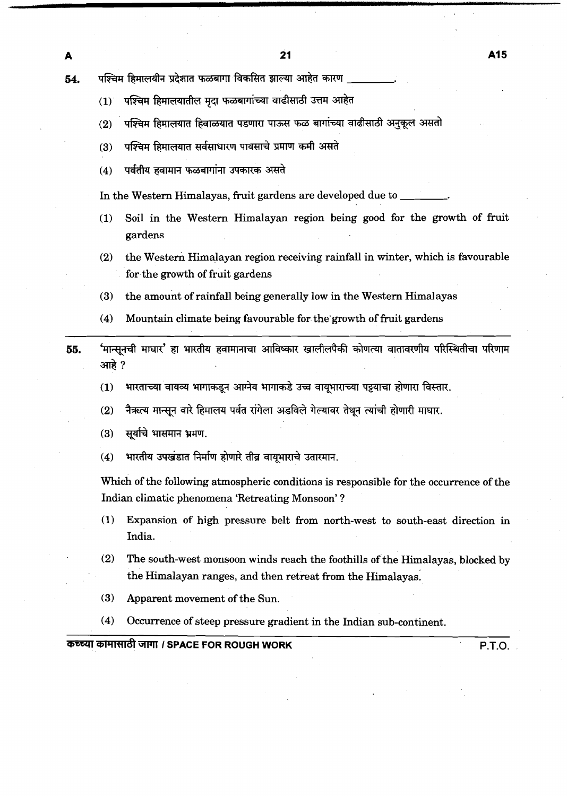पश्चिम हिमालयीन प्रदेशात फळबागा विकसित झाल्या आहेत कारण 54.

- पश्चिम हिमालयातील मुदा फळबागांच्या वाढीसाठी उत्तम आहेत  $(1)$
- पश्चिम हिमालयात हिवाळयात पडणारा पाऊस फळ बागांच्या वाढीसाठी अनुकूल असतो  $(2)$
- (3) पश्चिम हिमालयात सर्वसाधारण पावसाचे प्रमाण कमी असते<br>(4) पर्वतीय हवामान फळबागांना उपकारक असते
- 

In the Western Himalayas, fruit gardens are developed due to \_

- (1) Soil in the Western Himalayan region being good for the growth of fruit gardens
- **(2)** the Westerh Himalayan region receiving rainfall in winter, which is favourable for the growth of fruit gardens
- **(3)** the amount of rainfall being generally low in the Western Himalayas
- (4) Mountain climate being favourable for the growth of fruit gardens

'मान्सूनची माघार' हा भारतीय हवामानाचा आविष्कार खालीलपैकी कोणत्या वातावरणीय परिस्थितीचा परिणाम 55. आहे ?

- भारताच्या वायव्य भागाकडून आग्नेय भागाकडे उच्च वायुभाराच्या पट्टयाचा होणारा विस्तार.  $(1)$
- नैऋत्य मान्सून वारे हिमालय पर्वत रांगेला अडविले गेल्यावर तेथून त्यांची होणारी माघार.  $(2)$
- सूर्याचे भासमान भ्रमण.  $(3)$
- भारतीय उपखंडात निर्माण होणारे तीव्र वायभाराचे उतारमान.  $(4)$

Which of the following atmospheric conditions is responsible for the occurrence of the Indian climatic phenomena 'Retreating Monsoon' ?

- **(1)** Expansion of high pressure belt from north-west to south-east direction in India.
- **(2)** The south-west monsoon winds reach the foothills of the Himalayas, blocked by the Himalayan ranges, and then retreat from the Himalayas.
- **(3)** Apparent movement of the Sun.
- **(4)** Occurrence of steep pressure gradient in the Indian sub-continent.

**8vc+ll** etilYl'nlal WTl **I SPACE FOR ROUGH WORK P.T.O.**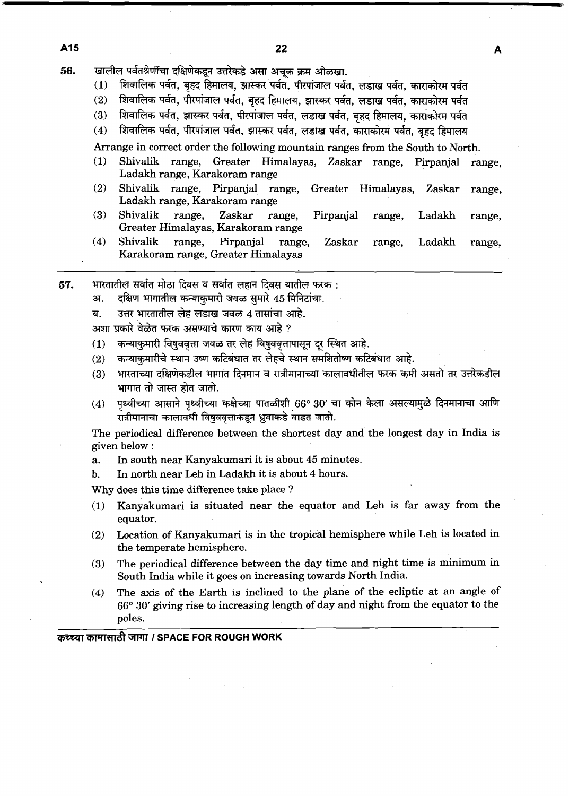- खालील पर्वतश्रेणींचा दक्षिणेकडून उत्तरेकडे असा अचक क्रम ओळखा. 56.
	- शिवालिक पर्वत, बृहद हिमालय, झास्कर पर्वत, पीरपांजाल पर्वत, लडाख पर्वत, काराकोरम पर्वत  $(1)$
	- $(2)$ शिवालिक पर्वत, पीरपांजाल पर्वत, बृहद हिमालय, झास्कर पर्वत, लडाख पर्वत, काराकोरम पर्वत
	- शिवालिक पर्वत, झास्कर पर्वत, पीरपांजाल पर्वत, लडाख पर्वत, बहद हिमालय, काराकोरम पर्वत  $(3)$
	- शिवालिक पर्वत, पीरपांजाल पर्वत, झास्कर पर्वत, लडाख पर्वत, काराकोरम पर्वत, बृहद हिमालय  $(4)$

Arrange in correct order the following mountain ranges from the South to North.

- (1) Shivalik range, Greater Himalayas, Zaskar range, Pirpanjal range, Ladakh range, Karakoram range
- (2) Shivalik range, Pirpanjal range, Greater Himalayas, Zaskar range, Ladakh range, Karakoram range
- (3) Shivalik range, Zaskar range, Pirpanjal range, Ladakh range, Greater Himalayas, Karakoram range
- (4) Shivalik range, Pirpanjal range, Zaskar range, Ladakh range, Karakoram range, Greater Himalayas -
- 57. भारतातील सर्वात मोठा दिवस व सर्वात लहान दिवस यातील फरक :
	- अ. दक्षिण भागातील कन्याकुमारी जवळ सुमारे 45 मिनिटांचा.
	- ब. उत्तर भारतातील लेह लडाख जवळ 4 तासांचा आहे.
	- अशा प्रकारे वेळेत फरक असण्याचे कारण काय आहे ?
	- (1) कन्याकुमारी विषुववृत्ता जवळ तर लेह विषुववृत्तापासून दर स्थित आहे.
	- (2) कन्याकमारीचे स्थान उष्ण कटिबंधात तर लेहचे स्थान समशितोष्ण कटिबंधात आहे.
	- (3) **vrmmn\$86'm&kimr~a~~m?fiEft&~~**  rn~mhd. (4) d ph d=4l **Wdi\$ 66O** 30' 7l d7 h ~~ **@VTTITI** 3Th
	- रात्रीमानाचा कालावधी विषुववृत्ताकडून ध्रुवाकडे वाढत जातो.

The periodical difference between the shortest day and the longest day in India is given below :

- a. In south near Kanyakumari it is about 45 minutes.
- b. In north near Leh in Ladakh it is about 4 hours.

Why does this time difference take place ?

- (1) Kanyakumari is situated near the equator and Leh is far away from the equator.
- (2) Location of Kanyakumari is in the tropical hemisphere while Leh is located in the temperate hemisphere.
- (3) The periodical difference between the day time and night time is minimum in South India while it goes on increasing towards North India.
- (4) The axis of the Earth is inclined to the plane of the ecliptic at an angle of **66"** 30' giving rise to increasing length of day and night from the equator to the poles.

## **कच्च्या कामासाठी जागा / SPACE FOR ROUGH WORK**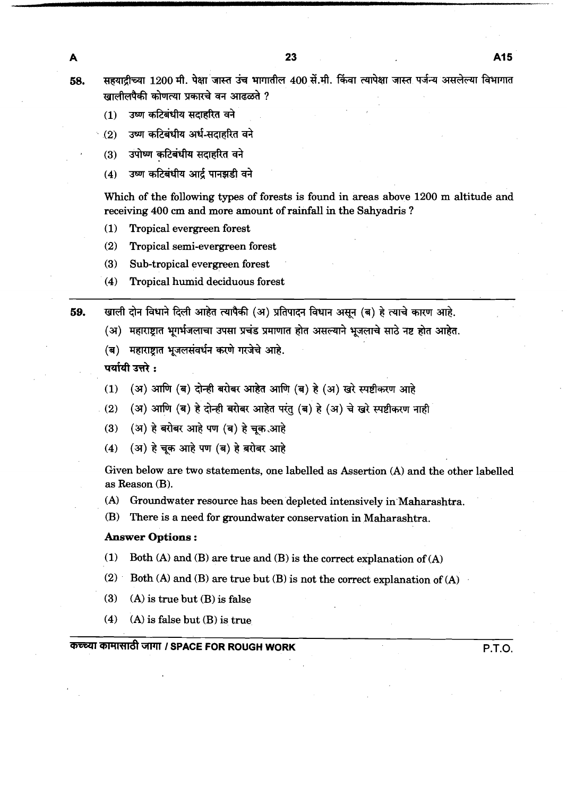सहयादीच्या 1200 मी. पेक्षा जास्त उंच भागातील 400 सें.मी. किंवा त्यापेक्षा जास्त पर्जन्य असलेल्या विभागात खालीलपैकी कोणत्या प्रकारचे वन आढळते ?

उष्ण कटिबंधीय सदाहरित वने  $(1)$ 

- उष्ण कटिबंधीय अर्ध-सदाहरित वने  $(2)$
- उपोष्ण कटिबंधीय सदाहरित वने  $(3)$
- उष्ण कटिबंधीय आर्द पानझडी वने  $(4)$

Which of the following types of forests is found in areas above **1200** m altitude and receiving **400** cm and more amount of rainfall in the Sahyadris ?

- **(1)** Tropical evergreen forest
- **(2)** Tropical semi-evergreen forest
- **(3)** Sub-tropical evergreen forest
- **(4)** Tropical humid deciduous forest

खाली दोन विधाने दिली आहेत त्यापैकी (अ) प्रतिपादन विधान असून (ब) हे त्याचे कारण आहे. 59.

- (अ) महाराष्ट्रात भूगर्भजलाचा उपसा प्रचंड प्रमाणात होत असल्याने भूजलाचे साठे नष्ट होत आहेत.
- 

- (ब) महाराष्ट्रात भूजलसंवर्धन करणे गरजेचे आहे.<br>पर्यायी उत्तरे :<br>(1) (अ) आणि (ब) दोन्ही बरोबर आहेत आणि (ब) हे (अ) खरे स्पष्टीकरण आहे<br>(२) (२) २एणि (न) वे योजी उपोवा अप्रेन एंड (त) वे (२) ये उसे सम्पीयमा उप
- (2) (अ) आणि (ब) हे दोन्ही बरोबर आहेत परंतु (ब) हे (अ) चे खरे स्पष्टीकरण नाही (1) (अ) आणि (ब) दोन्ही बरोबर आहेत आणि (ब) हे (अ) खरे<br>(2) (अ) आणि (ब) हे दोन्ही बरोबर आहेत परंतु (ब) हे (अ) चे<br>(3) (अ) हे बरोबर आहे पण (ब) हे चूक आहे<br>(4) (अ) हे चूक अपने पण (व) हे चुके आहे
- 
- (4) (अ) हे चूक आहे पण (ब) हे बरोबर आहे

Given below are two statements, one labelled as Assertion **(A)** and the other labelled as Reason **(B).** 

**(A)** Groundwater resource has been depleted intensively in'Maharashtra.

**(B)** There is a need for groundwater conservation in Maharashtra.

## **Answer Options** :

- **(1)** Both **(A)** and **(B)** are true and **(B)** is the correct explanation of **(A)**
- **(2)** Both **(A)** and **(B)** are true but **(B)** is not the correct explanation of **(A)** .
- **(3) (A)** is true but **(B)** is false
- **(4) (A)** is false but **(B)** is true

GTPlT **1 SPACE FOR ROUGH WORK P.T.O.** 

A 58.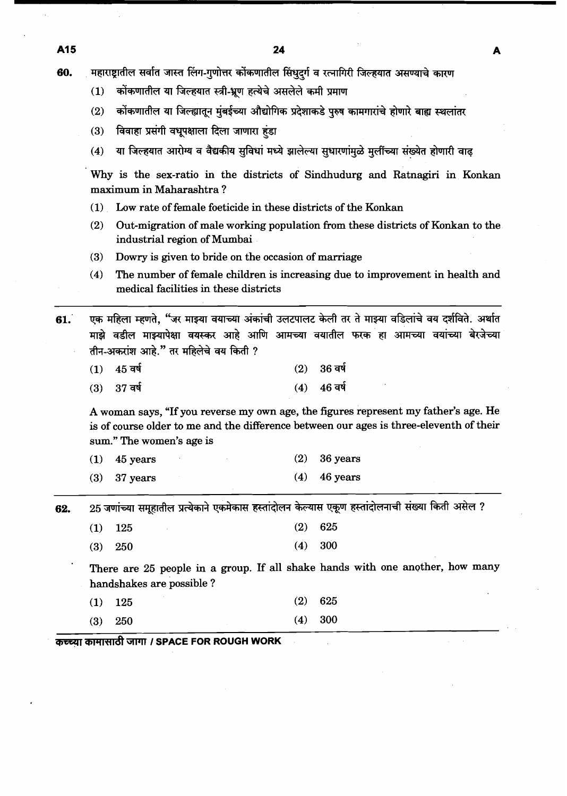महाराष्ट्रातील सर्वात जास्त लिंग-गुणोत्तर कोंकणातील सिंधुदर्ग व रत्नागिरी जिल्हयात असण्याचे कारण 60.

- कोंकणातील या जिल्हयात स्त्री-भ्रूण हत्येचे असलेले कमी प्रमाण  $(1)$
- कोंकणातील या जिल्ह्यातून मुंबईच्या औद्योगिक प्रदेशाकडे पुरुष कामगारांचे होणारे बाह्य स्थलांतर  $(2)$
- विवाहा प्रसंगी वधूपक्षाला दिला जाणारा हंडा  $(3)$
- या जिल्हयात आरोग्य व वैद्यकीय सुविधां मध्ये झालेल्या सुधारणांमुळे मूलींच्या संख्येत होणारी वाढ  $(4)$

Why is the sex-ratio in the districts of Sindhudurg and Ratnagiri in Konkan maximum in Maharashtra ?

- **(1)** Low rate of female foeticide in these districts of the Konkan
- **(2)** Out-migration of male working population from these districts of Konkan to the industrial region of Mumbai
- **(3)** Dowry is given to bride on the occasion of marriage
- **(4)** The number of female children is increasing due to improvement in health and medical facilities in these districts

एक महिला म्हणते. "जर माझ्या वयाच्या अंकांची उलटपालट केली तर ते माझ्या वडिलांचे वय दर्शविते. अर्थात 61. माझे वडील माझ्यापेक्षा वयस्कर आहे आणि आमच्या वयातील फरक हा आमच्या वयांच्या बेरजेच्या तीन-अकरांश आहे." तर महिलेचे वय किती ?

- $45$  वर्ष  $(1)$  $(2)$ 36 वर्ष
- $(3)$ 37 वर्ष  $(4)$ 46 वर्ष

A woman says, "If you reverse my own age, the figures represent my father's age. He is of course older to me and the difference between our ages is three-eleventh of their sum." The women's age is

| $(1)$ 45 years |  | $(2)$ 36 years |
|----------------|--|----------------|
| $(3)$ 37 years |  | $(4)$ 46 years |

25 जणांच्या समूहातील प्रत्येकाने एकमेकास हस्तांदोलन केल्यास एकूण हस्तांदोलनाची संख्या किती असेल ? 62.

| $(1)$ 125 |  | $(2)$ 625 |
|-----------|--|-----------|
|           |  | ___       |

300  $(3)$ 250  $(4)$ 

There are **25** people in a group. If all shake hands with one another, how many handshakes are possible ?

 $(2)$ 625  $(1)$ 125

**(3) 250 (4) 300** 

**कच्च्या कामासाठी जागा / SPACE FOR ROUGH WORK**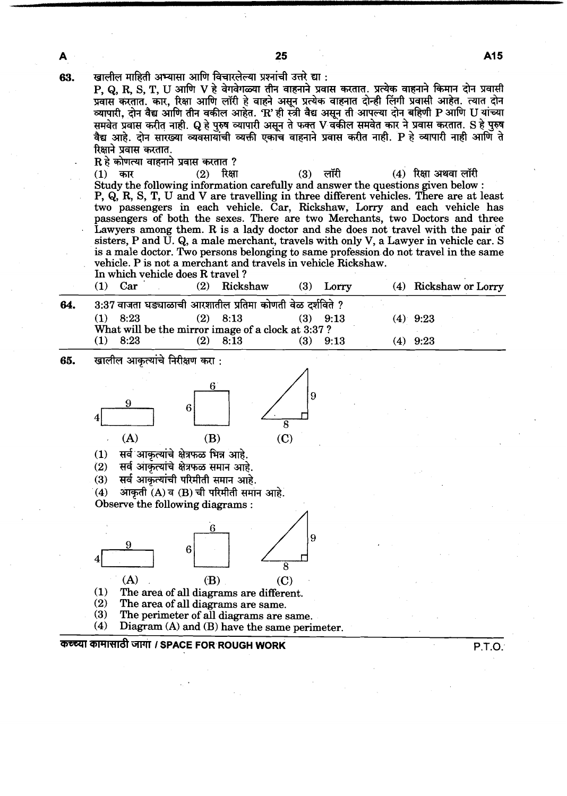| A   | 25                                                                                                                                                                                                                                                                                                                                                                                                                                                                                                                                                                                                                                                                                                                                                                                                                                                                                                                                                                                                                                                                                                                                                                                                                                                                                                                                                                                                |                                 |                        | A15    |
|-----|---------------------------------------------------------------------------------------------------------------------------------------------------------------------------------------------------------------------------------------------------------------------------------------------------------------------------------------------------------------------------------------------------------------------------------------------------------------------------------------------------------------------------------------------------------------------------------------------------------------------------------------------------------------------------------------------------------------------------------------------------------------------------------------------------------------------------------------------------------------------------------------------------------------------------------------------------------------------------------------------------------------------------------------------------------------------------------------------------------------------------------------------------------------------------------------------------------------------------------------------------------------------------------------------------------------------------------------------------------------------------------------------------|---------------------------------|------------------------|--------|
| 63. | खालील माहिती अभ्यासा आणि विचारलेल्या प्रश्नांची उत्तरे द्या :<br>P, Q, R, S, T, U आणि V हे वेगवेगळ्या तीन वाहनाने प्रवास करतात. प्रत्येक वाहनाने किमान दोन प्रवासी<br>प्रवास करतात. कार, रिक्षा आणि लॉरी हे वाहने असून प्रत्येक वाहनात दोन्ही लिंगी प्रवासी आहेत. त्यात दोन<br>व्यापारी, दोन वैद्य आणि तीन वकील आहेत. 'R' ही स्त्री वैद्य असून ती आपल्या दोन बहिणी P आणि U यांच्या<br>समवेत प्रवास करीत नाही. Q हे पुरुष व्यापारी असून ते फक्त V वकील समवेत कार ने प्रवास करतात. S हे पुरुष<br>वैद्य आहे. दोन सारख्या व्यवसायांची व्यक्ती एकाच वाहनाने प्रवास करीत नाही. P हे व्यापारी नाही आणि ते<br>रिक्षाने प्रवास करतात.<br>$\mathbf R$ हे कोणत्या वाहनाने प्रवास करतात ?<br>$(2)$ रिक्षा<br>(1)<br>कार<br>(3)<br>Study the following information carefully and answer the questions given below :<br>P, Q, R, S, T, U and V are travelling in three different vehicles. There are at least<br>two passengers in each vehicle. Car, Rickshaw, Lorry and each vehicle has<br>passengers of both the sexes. There are two Merchants, two Doctors and three<br>Lawyers among them. R is a lady doctor and she does not travel with the pair of<br>sisters, P and U. Q, a male merchant, travels with only V, a Lawyer in vehicle car. S<br>is a male doctor. Two persons belonging to same profession do not travel in the same<br>vehicle. P is not a merchant and travels in vehicle Rickshaw. | लॉरी                            | $(4)$ रिक्षा अथवा लॉरी |        |
|     | In which vehicle does R travel?                                                                                                                                                                                                                                                                                                                                                                                                                                                                                                                                                                                                                                                                                                                                                                                                                                                                                                                                                                                                                                                                                                                                                                                                                                                                                                                                                                   |                                 |                        |        |
|     | $(1)$ Car<br>(2) Rickshaw                                                                                                                                                                                                                                                                                                                                                                                                                                                                                                                                                                                                                                                                                                                                                                                                                                                                                                                                                                                                                                                                                                                                                                                                                                                                                                                                                                         | $(3)$ Lorry                     | (4) Rickshaw or Lorry  |        |
| 64. | 3:37 वाजता घड्याळाची आरशातील प्रतिमा कोणती वेळ दर्शविते ?<br>$(1)$ 8:23<br>$(2)$ 8:13<br>What will be the mirror image of a clock at 3:37 ?<br>$(1)$ 8:23<br>$(2)$ 8:13                                                                                                                                                                                                                                                                                                                                                                                                                                                                                                                                                                                                                                                                                                                                                                                                                                                                                                                                                                                                                                                                                                                                                                                                                           | $(3)$ 9:13<br>(4)<br>$(3)$ 9:13 | 9:23<br>$(4)$ 9:23     |        |
| 65. | खालील आकृत्यांचे निरीक्षण करा :                                                                                                                                                                                                                                                                                                                                                                                                                                                                                                                                                                                                                                                                                                                                                                                                                                                                                                                                                                                                                                                                                                                                                                                                                                                                                                                                                                   |                                 |                        |        |
|     | (A)<br>(B)<br>(C)<br>सर्व आकृत्यांचे क्षेत्रफळ भिन्न आहे.<br>सर्व आकृत्यांचे क्षेत्रफळ समान आहे.<br>(2)                                                                                                                                                                                                                                                                                                                                                                                                                                                                                                                                                                                                                                                                                                                                                                                                                                                                                                                                                                                                                                                                                                                                                                                                                                                                                           |                                 |                        |        |
|     | सर्व आकृत्यांची परिमीती समान आहे.<br>(3)<br>आकृती (A) व (B) ची परिमीती समान आहे.<br>(4)<br>Observe the following diagrams:                                                                                                                                                                                                                                                                                                                                                                                                                                                                                                                                                                                                                                                                                                                                                                                                                                                                                                                                                                                                                                                                                                                                                                                                                                                                        |                                 |                        |        |
|     | 6<br>8<br>(A)<br>(C)<br>(B)                                                                                                                                                                                                                                                                                                                                                                                                                                                                                                                                                                                                                                                                                                                                                                                                                                                                                                                                                                                                                                                                                                                                                                                                                                                                                                                                                                       |                                 |                        |        |
|     | The area of all diagrams are different.<br>(1)<br>(2)<br>The area of all diagrams are same.<br>(3)<br>The perimeter of all diagrams are same.<br>Diagram (A) and (B) have the same perimeter.<br>(4)                                                                                                                                                                                                                                                                                                                                                                                                                                                                                                                                                                                                                                                                                                                                                                                                                                                                                                                                                                                                                                                                                                                                                                                              |                                 |                        |        |
|     | कच्च्या कामासाठी जागा / SPACE FOR ROUGH WORK                                                                                                                                                                                                                                                                                                                                                                                                                                                                                                                                                                                                                                                                                                                                                                                                                                                                                                                                                                                                                                                                                                                                                                                                                                                                                                                                                      |                                 |                        | P.T.O. |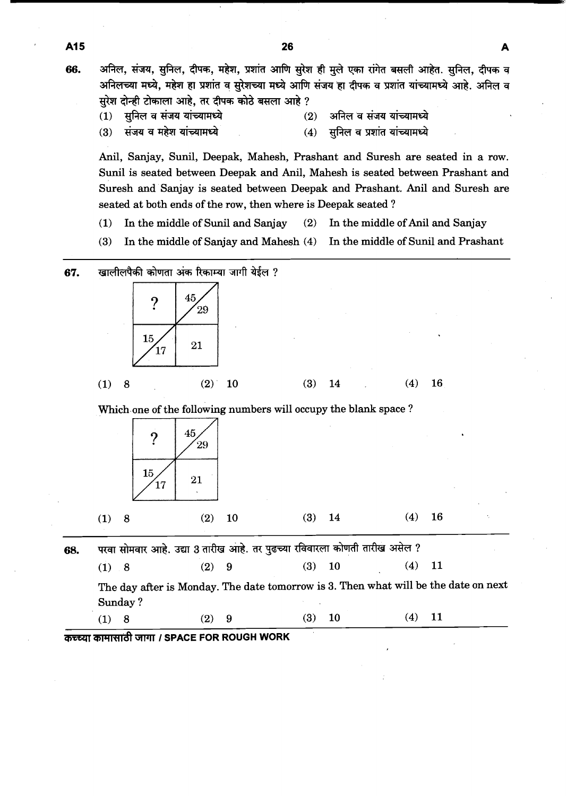अनिल, संजय, सुनिल, दीपक, महेश, प्रशांत आणि सुरेश ही मुले एका रांगेत बसली आहेत. सुनिल, दीपक व 66. अनिलच्या मध्ये, महेश हा प्रशांत व सुरेशच्या मध्ये आणि संजय हा दीपक व प्रशांत यांच्यामध्ये आहे. अनिल व सुरेश दोन्ही टोकाला आहे. तर दीपक कोठे बसला आहे ?

सुनिल व संजय यांच्यामध्ये  $(1)$ 

A15

- अनिल व संजय यांच्यामध्ये  $(2)$ सुनिल व प्रशांत यांच्यामध्ये
- $(3)$ संजय व महेश यांच्यामध्ये

Anil, Sanjay, Sunil, Deepak, Mahesh, Prashant and Suresh are seated in a row. Sunil is seated between Deepak and Anil, Mahesh is seated between Prashant and Suresh and Sanjay is seated between Deepak and Prashant. Anil and Suresh are seated at both ends of the row, then where is Deepak seated ?

 $(4)$ 

- **(1)** In the middle of Sunil and Sanjay **(2)** In the middle of Anil and Sanjay
- **(3)** In the middle of Sanjay and Mahesh **(4)** In the middle of Sunil and Prashant

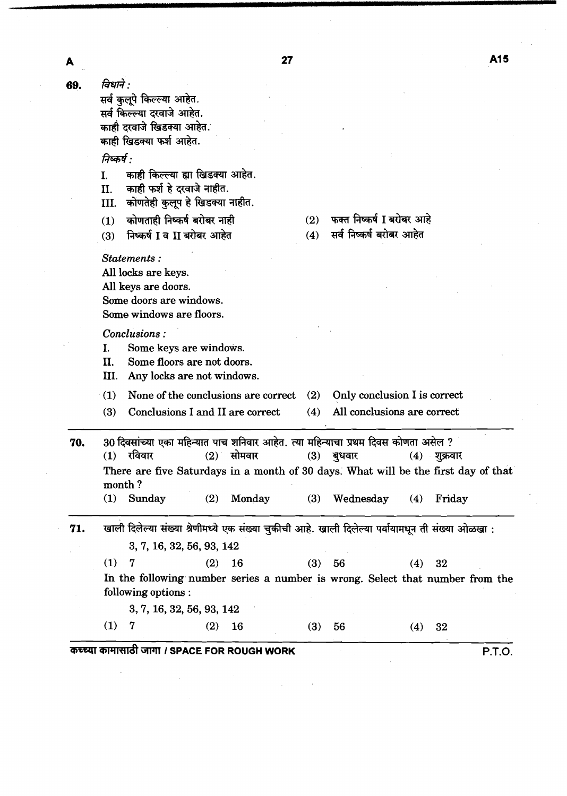विधाने : 69.

 $\boldsymbol{\mathsf{A}}$ 

सर्व कुलूपे किल्ल्या आहेत. सर्व किल्ल्या दरवाजे आहेत. काही दरवाजे खिडक्या आहेत. काही खिडक्या फर्श आहेत.

## निष्कर्ष :

Statements:

All locks are keys. All keys are doors.

- काही किल्ल्या ह्या खिडक्या आहेत.  $\overline{1}$ .
- काही फर्श हे दरवाजे नाहीत. II.
- III. कोणतेही कुलूप हे खिडक्या नाहीत.
- कोणताही निष्कर्ष बरोबर नाही  $(1)$
- निष्कर्ष I व II बरोबर आहेत  $(3)$
- फक्त निष्कर्ष I बरोबर आहे  $(2)$

सर्व निष्कर्ष बरोबर आहेत  $(4)$ 

|     |                                                                                       | Some doors are windows.<br>Some windows are floors.                                                |            |                                                                                                                                                                                                    |            |                                                             |            |                          |        |  |  |  |
|-----|---------------------------------------------------------------------------------------|----------------------------------------------------------------------------------------------------|------------|----------------------------------------------------------------------------------------------------------------------------------------------------------------------------------------------------|------------|-------------------------------------------------------------|------------|--------------------------|--------|--|--|--|
|     | L.<br>H.<br>Ш.                                                                        | Conclusions:<br>Some keys are windows.<br>Some floors are not doors.<br>Any locks are not windows. |            |                                                                                                                                                                                                    |            |                                                             |            |                          |        |  |  |  |
|     | (1)<br>None of the conclusions are correct<br>(3)<br>Conclusions I and II are correct |                                                                                                    |            |                                                                                                                                                                                                    | (2)<br>(4) | Only conclusion I is correct<br>All conclusions are correct |            |                          |        |  |  |  |
| 70. | (1)                                                                                   | $(1)$ रविवार<br>month?<br>Sunday                                                                   | (2)        | 30 दिवसांच्या एका महिन्यात पाच शनिवार आहेत. त्या महिन्याचा प्रथम दिवस कोणता असेल ?<br>$(2)$ सोमवार<br>There are five Saturdays in a month of 30 days. What will be the first day of that<br>Monday | (3)<br>(3) | बुधवार<br>Wednesday                                         | (4)        | $(4)$ शुक्रवार<br>Friday |        |  |  |  |
| 71. | (1)<br>(1)                                                                            | 3, 7, 16, 32, 56, 93, 142<br>7<br>following options :<br>3, 7, 16, 32, 56, 93, 142<br>7            | (2)<br>(2) | खाली दिलेल्या संख्या श्रेणीमध्ये एक संख्या चुकीची आहे. खाली दिलेल्या पर्यायामधून ती संख्या ओळखा :<br>16<br>In the following number series a number is wrong. Select that number from the<br>16     | (3)<br>(3) | 56<br>56                                                    | (4)<br>(4) | 32<br>32                 |        |  |  |  |
|     |                                                                                       |                                                                                                    |            | कच्च्या कामासाठी जागा / SPACE FOR ROUGH WORK                                                                                                                                                       |            |                                                             |            |                          | P.T.O. |  |  |  |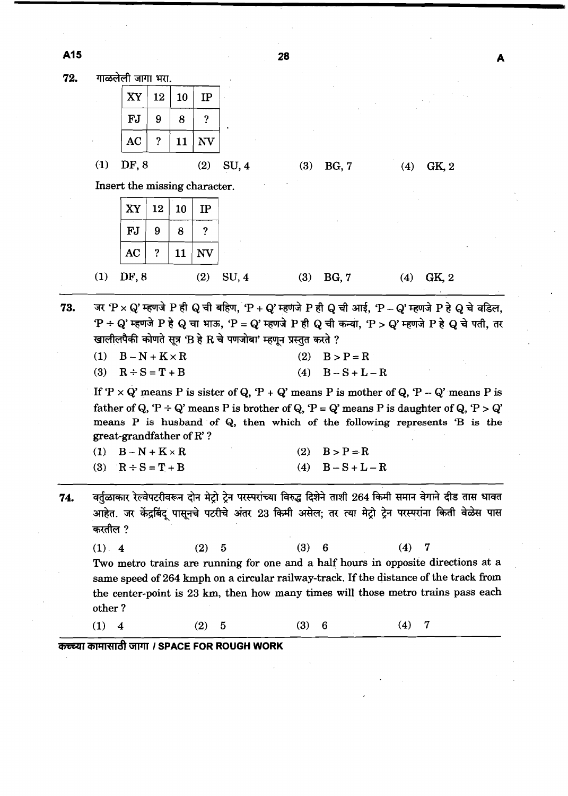A15

72. गाळलेली जागा भरा. XY 12 10 **IP FJ**  $\overline{?}$ 9 8 **AC**  $\tilde{?}$ NV 11 **(1)** DF, 8 **(2)** SU, **4 (3)** BG, **7 (4)** GK, **2**  Insert the missing character. XY 12 10 IP **FJ** 9 8  $\overline{?}$  $AC$  $\overline{\mathbf{?}}$ 11 **NV (1)** DF,8 **(2)** SU, **4 (3)** BG, **7 (4)** GK, **2**  73. जर 'P x Q' म्हणजे P ही Q ची बहिण, 'P + Q' म्हणजे P ही Q ची आई, 'P - Q' म्हणजे P हे Q चे वडिल,  $P \div Q$ ' म्हणजे P हे Q चा भाऊ, 'P = Q' म्हणजे P ही Q ची कन्या, 'P > Q' म्हणजे P हे Q चे पती, तर खालीलपैकी कोणते सूत्र 'B हे R चे पणजोबा' म्हणून प्रस्तुत करते ?  $(1)$  $B - N + K \times R$  $(2)$  $B > P = R$  $B-S+L-R$  $(3)$  $R \div S = T + B$  $(4)$ If  $P \times Q'$  means P is sister of Q,  $P + Q'$  means P is mother of Q,  $P - Q'$  means P is father of Q, 'P  $\div$  Q' means P is brother of Q, 'P = Q' means P is daughter of Q, 'P > Q' means P is husband of Q, then which of the following represents 'B is the great-grandfather of R' ? **(1)** B-N+KxR **(2) B>P=R**  (3)  $R \div S = T + B$  (4)  $B - S + L - R$ वर्तुळाकार रेल्वेपटरीवरून दोन मेट्रो ट्रेन परस्परांच्या विरुद्ध दिशेने ताशी 264 किमी समान वेगाने दीड तास धावत 74. आहेत. जर केंद्रबिंदू पासूनचे पटरीचे अंतर 23 किमी असेल; तर त्या मेट्रो ट्रेन परस्परांना किती वेळेस पास करतील ? **(1) 4 (2) 5 (3) 6 (4) 7**  Two metro trains are running for one and a half hours in opposite directions at a same speed of **264** kmph on a circular railway-track. If the distance of the track from the center-point is **23** km, then how many times will those metro trains pass each other ? **(1) 4 (2) 5 (3) 6 (4) 7 कच्च्या कामासाठी जागा / SPACE FOR ROUGH WORK** 

28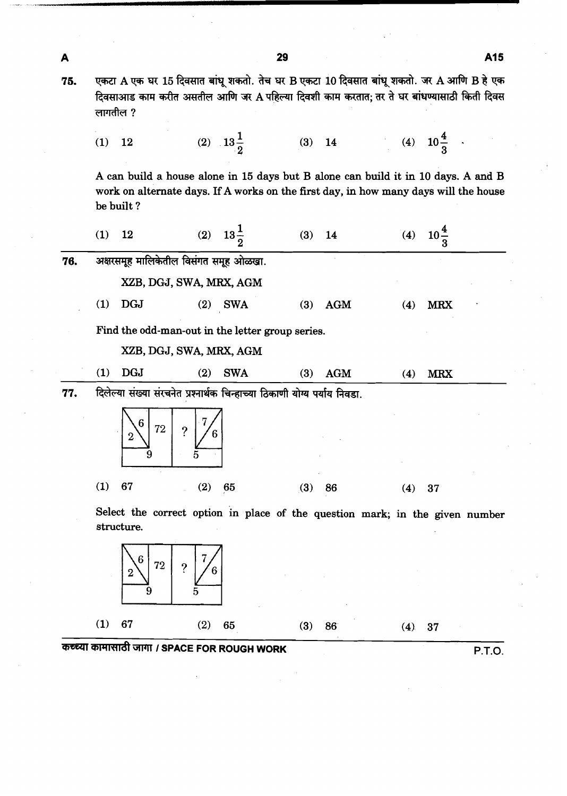| A   |          |                                                                           |              |                     | 29  |            |                                                                                                                                                                                     |                 | A15 |
|-----|----------|---------------------------------------------------------------------------|--------------|---------------------|-----|------------|-------------------------------------------------------------------------------------------------------------------------------------------------------------------------------------|-----------------|-----|
| 75. | लागतील ? |                                                                           |              |                     |     |            | एकटा A एक घर 15 दिवसात बांधू शकतो. तेच घर B एकटा 10 दिवसात बांधू शकतो. जर A आणि B हे एक<br>दिवसाआड काम करीत असतील आणि जर A पहिल्या दिवशी काम करतात; तर ते घर बांधण्यासाठी किती दिवस |                 |     |
|     | (1)      | 12                                                                        |              | (2) $13\frac{1}{2}$ |     |            | (3) 14 (4) $10\frac{4}{3}$                                                                                                                                                          |                 |     |
|     |          | be built?                                                                 |              |                     |     |            | A can build a house alone in 15 days but B alone can build it in 10 days. A and B<br>work on alternate days. If A works on the first day, in how many days will the house           |                 |     |
|     | (1)      | 12                                                                        |              | (2) $13\frac{1}{2}$ | (3) | 14         | (4)                                                                                                                                                                                 | $10\frac{4}{3}$ |     |
| 76. |          | अक्षरसमूह मालिकेतील विसंगत समूह ओळखा.                                     |              |                     |     |            |                                                                                                                                                                                     |                 |     |
|     |          | XZB, DGJ, SWA, MRX, AGM                                                   |              |                     |     |            |                                                                                                                                                                                     |                 |     |
|     | (1)      | <b>DGJ</b>                                                                | (2)          | <b>SWA</b>          | (3) | <b>AGM</b> | (4)                                                                                                                                                                                 | <b>MRX</b>      |     |
|     |          | Find the odd-man-out in the letter group series.                          |              |                     |     |            |                                                                                                                                                                                     |                 |     |
|     |          | XZB, DGJ, SWA, MRX, AGM                                                   |              |                     |     |            |                                                                                                                                                                                     |                 |     |
|     | (1)      | <b>DGJ</b>                                                                | (2)          | <b>SWA</b>          | (3) | <b>AGM</b> | (4)                                                                                                                                                                                 | <b>MRX</b>      |     |
| 77. |          | दिलेल्या संख्या संरचनेत प्रश्नार्थक चिन्हाच्या ठिकाणी योग्य पर्याय निवडा. |              |                     |     |            |                                                                                                                                                                                     |                 |     |
|     |          | $6\phantom{1}6$<br>72                                                     | $\mathbf{P}$ |                     |     |            |                                                                                                                                                                                     |                 |     |
|     | (1)      | 67                                                                        | (2)          | 65                  | (3) | 86         | (4)                                                                                                                                                                                 | 37              |     |
|     |          | structure.                                                                |              |                     |     |            | Select the correct option in place of the question mark; in the given number                                                                                                        |                 |     |
|     |          | 6<br>72<br>2<br>9                                                         | 2<br>5       |                     |     |            |                                                                                                                                                                                     |                 |     |
|     |          |                                                                           |              |                     |     |            |                                                                                                                                                                                     |                 |     |

29

 $\hat{\mathcal{A}}$ 

 $\hat{\mathcal{A}}$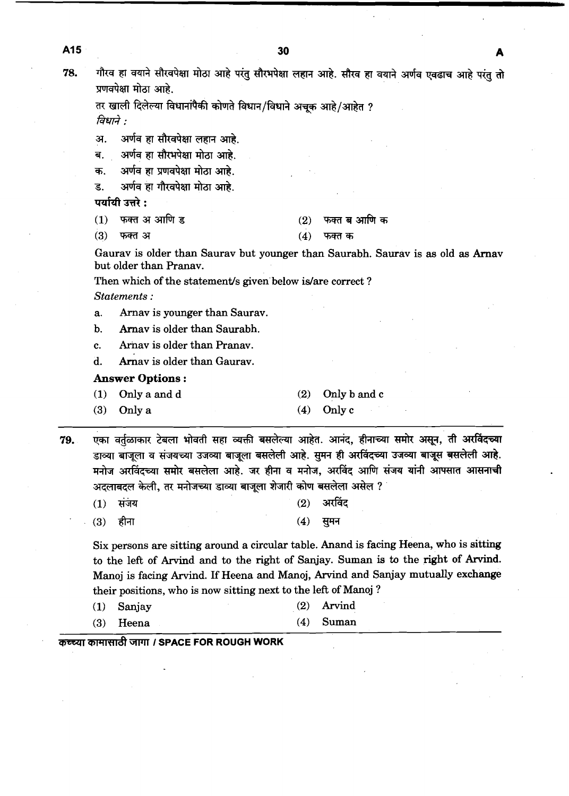| गौरव हा वयाने सौरवपेक्षा मोठा आहे परंतु सौरभपेक्षा लहान आहे. सौरव हा वयाने |
|----------------------------------------------------------------------------|
| प्रणवपेक्षा मोठा आहे.                                                      |
| तर खाली दिलेल्या विधानांपैकी कोणते विधान/विधाने अचूक आहे/आहेत ?            |
| विधाने :                                                                   |
| अ. अर्णव हा सौरवपेक्षा लहान आहे.                                           |
| ब. अर्णव हा सौरभपेक्षा मोठा आहे.                                           |
| क. अर्णव हा प्रणवपेक्षा मोठा आहे.                                          |
| अर्णव हा गौरवपेक्षा मोठा आहे.<br>ड.                                        |
| पर्यायी उत्तरे :                                                           |

| (1)   फक्त अ आणि ड | $(2)$ फक्त ब आणि क |
|--------------------|--------------------|
| (3) फक्त अ         | $(4)$ फक्त क       |

Gaurav is older than Saurav but younger than Saurabh. Saurav is **as** old **as** Arnav but older than Pranav.

Then which of the statement's given below is/are correct? *Statements* :

a. Arnav is younger than Saurav.

b. Arnav is older than Saurabh.

c. Arnav is older than Pranav.

d. Arnav is older than Gaurav.

#### **Answer Options** :

- **(1)** Only a and d **(2)** Only b and c
- **(3)** Only a **(4)** Only c

एका वर्तळाकार टेबला भोवती सहा व्यक्ती बसलेल्या आहेत. आनंद, हीनाच्या समोर असून, ती अरविंदच्या 79. डाव्या बाजूला व संजयच्या उजव्या बाजूला बसलेली आहे. सुमन ही अरविंदच्या उजव्या बाजूस बसलेली आहे. मनोज अरविंदच्या समोर बसलेला आहे. जर हीना व मनोज, अरविंद आणि संजय यांनी आपसात आसनाची अदलाबदल केली, तर मनोजच्या डाव्या बाजूला शेजारी कोण बसलेला असेल ?

 $(1)$ संजय  $(2)$ 

 $(3)$ हीना

 $(4)$ सुमन

Six persons are sitting around a circular table. Anand is facing Heena, who is sitting to the left of Arvind and to the right of Sanjay. Suman is to the right of Arvind. Manoj is facing Arvind. If Heena and Manoj, Arvind and Sanjay mutually exchange their positions, who is now sitting next to the lefi of Manoj ?

- **(1)** Sanjay **(2)** Anind
- **(3)** Heena **(4)** Suman

**The IM THE TEACH POR ROUGH WORK** 

A15

78.

अर्णव एवढाच आहे परंतु तो

अरविंद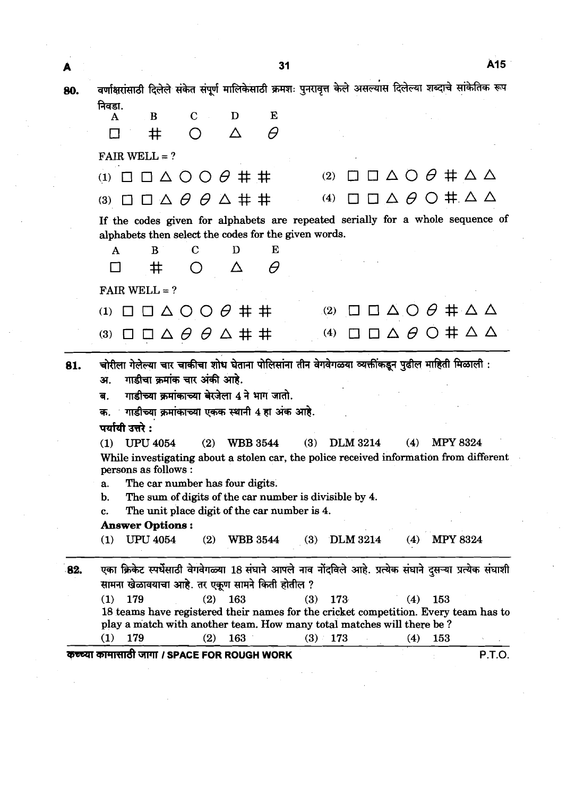A<sub>15</sub>  $31$ A वर्णाक्षरांसाठी दिलेले संकेत संपूर्ण मालिकेसाठी क्रमशः पुनरावृत्त केले असल्यास दिलेल्या शब्दाचे सांकेतिक रूप 80. निवडा. D  $\overline{B}$  $\overline{C}$  $E$  $\mathbf{A}$  $\Lambda$  $\theta$  $\Box$  $#$  $\bigcap$ FAIR WELL  $= ?$ (1)  $\Box$   $\Box$   $\Delta$  O O  $\theta$   $\#$   $\#$  (2)  $\Box$   $\Box$   $\Delta$  O  $\theta$   $\#$   $\Delta$   $\Delta$ (3)  $\Box$   $\Box$   $\Delta$   $\theta$   $\theta$   $\Delta$   $\pm$   $\pm$  (4)  $\Box$   $\Box$   $\Delta$   $\theta$   $\odot$   $\pm$   $\Delta$   $\Delta$ If the codes given for alphabets are repeated serially for a whole sequence of alphabets then select the codes for the given words. **A** B **C** D E  $\Box\quad \ \, \texttt{\#}\quad \ \, \texttt{\textcircled{\#}}\qquad \ \, \texttt{\textcircled{\#}}\qquad \ \, \texttt{\textcircled{\#}}\qquad \ \, \texttt{\textcircled{\#}}\qquad \ \, \texttt{\textcircled{\#}}\qquad \ \, \texttt{\textcircled{\#}}\qquad \ \, \texttt{\textcircled{\#}}\qquad \ \, \texttt{\textcircled{\#}}\qquad \ \, \texttt{\textcircled{\#}}\qquad \ \, \texttt{\textcircled{\#}}\qquad \ \, \texttt{\textcircled{\#}}\qquad \ \, \texttt{\textcircled{\#}}\qquad \$ FAIR WELL  $= ?$ (1)  $\Box$   $\Box$   $\Delta$  O O  $\theta$   $\#$   $\#$  (2)  $\Box$   $\Box$   $\Delta$  O  $\theta$   $\#$   $\Delta$   $\Delta$ (4)  $\Box$   $\Box$   $\Delta$   $\theta$   $\dot{\bigcirc}$  #  $\Delta$   $\Delta$ (3)  $\Box$   $\Box$   $\Delta$   $\theta$   $\theta$   $\Delta$  # # 81. चोरीला गेलेल्या चार चाकीचा शोध घेताना पोलिसांना तीन वेगवेगळया व्यक्तींकडून पुढील माहिती मिळाली :<br>अ. गाडीचा क्रमांक चार अंकी आहे. **ब. • गाडीच्या क्रमांकाच्या बे**खेला 4 ने भाग जातो. क. माडीच्या क्रमांकाच्या एकक स्थानी 4 हा अंक आहे. पर्यायी उत्तरे $:$ **(1) UPU4054 (2)** WBB **3544 (3) DLM 3214 (4) MPY 8324**  While investigating about a stolen car, the police received information from different persons as follows : a. The car number has four digits. b. The sum of digits of the car number is divisible by **4.**  c. The unit place digit of the car number is **4. Answer Options** : **(1)** UPU **4054 (2)** WBB **3544 (3) DLM3214 (4) MPY 8324**  82. एका क्रिकेट स्पर्धेसाठी वेगवेगळ्या 18 संघाने आपले नाव नोंदविले आहे. प्रत्येक संघाने दुसऱ्या प्रत्येक संघाशी सामना खेळावयाचा आहे. तर एकूण सामने किती होतील ? **(1) 179 (2) 163 (3) 173 (4) 153 18** teams have registered their names for the cricket competition. Every team has to play a match with another team. How many total matches will there be ? **(1) 179 (2) 163 (3) 173 (4) 153**  WFFd CWlT **I SPACE FOR ROUGH WORK P.T.O.**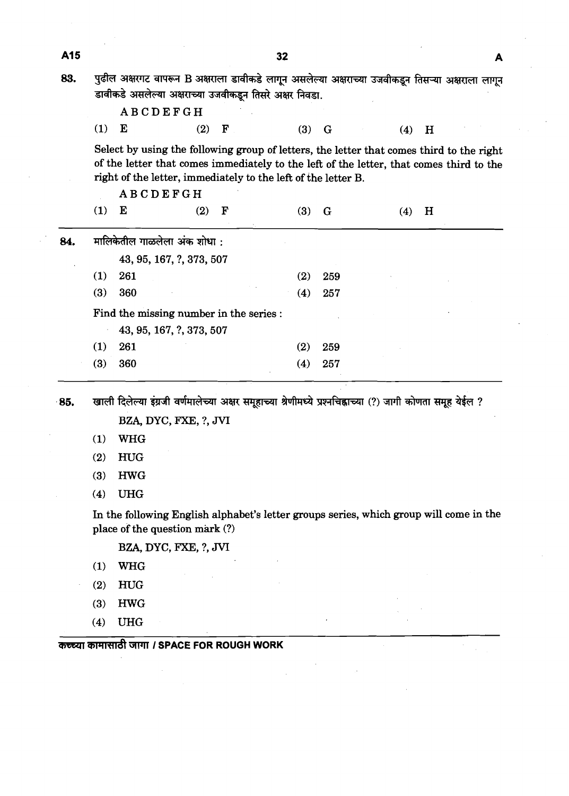| A15 |                                                                                                                                                                                                                                                                         |            |                                                                                                                                                              |           |  | 32 |     |             |  |     |   | A |
|-----|-------------------------------------------------------------------------------------------------------------------------------------------------------------------------------------------------------------------------------------------------------------------------|------------|--------------------------------------------------------------------------------------------------------------------------------------------------------------|-----------|--|----|-----|-------------|--|-----|---|---|
| 83. |                                                                                                                                                                                                                                                                         |            | पुढील अक्षरगट वापरून B अक्षराला डावीकडे लागून असलेल्या अक्षराच्या उजवीकडून तिसऱ्या अक्षराला लागून<br>डावीकडे असलेल्या अक्षराच्या उजवीकडून तिसरे अक्षर निवडा. |           |  |    |     |             |  |     |   |   |
|     |                                                                                                                                                                                                                                                                         |            | <b>ABCDEFGH</b>                                                                                                                                              |           |  |    |     |             |  |     |   |   |
|     | (1)                                                                                                                                                                                                                                                                     | E          | (2)                                                                                                                                                          | ${\bf F}$ |  |    | (3) | G           |  | (4) | H |   |
|     | Select by using the following group of letters, the letter that comes third to the right<br>of the letter that comes immediately to the left of the letter, that comes third to the<br>right of the letter, immediately to the left of the letter B.<br><b>ABCDEFGH</b> |            |                                                                                                                                                              |           |  |    |     |             |  |     |   |   |
|     | (1)                                                                                                                                                                                                                                                                     | E          | (2)                                                                                                                                                          | F         |  |    | (3) | $\mathbf G$ |  | (4) | H |   |
| 84. |                                                                                                                                                                                                                                                                         |            | मालिकेतील गाळलेला अंक शोधा:                                                                                                                                  |           |  |    |     |             |  |     |   |   |
|     |                                                                                                                                                                                                                                                                         |            | 43, 95, 167, ?, 373, 507                                                                                                                                     |           |  |    |     |             |  |     |   |   |
|     | (1)                                                                                                                                                                                                                                                                     | 261        |                                                                                                                                                              |           |  |    | (2) | 259         |  |     |   |   |
|     | (3)                                                                                                                                                                                                                                                                     | 360        |                                                                                                                                                              |           |  |    | (4) | 257         |  |     |   |   |
|     |                                                                                                                                                                                                                                                                         |            | Find the missing number in the series :                                                                                                                      |           |  |    |     |             |  |     |   |   |
|     |                                                                                                                                                                                                                                                                         |            | 43, 95, 167, ?, 373, 507                                                                                                                                     |           |  |    |     |             |  |     |   |   |
|     | (1)                                                                                                                                                                                                                                                                     | 261        |                                                                                                                                                              |           |  |    | (2) | 259         |  |     |   |   |
|     | (3)                                                                                                                                                                                                                                                                     | 360        |                                                                                                                                                              |           |  |    | (4) | 257         |  |     |   |   |
| 85. |                                                                                                                                                                                                                                                                         |            | खाली दिलेल्या इंग्रजी वर्णमालेच्या अक्षर समूहाच्या श्रेणीमध्ये प्रश्नचिह्नाच्या (?) जागी कोणता समूह येईल ?                                                   |           |  |    |     |             |  |     |   |   |
|     |                                                                                                                                                                                                                                                                         |            | BZA, DYC, FXE, ?, JVI                                                                                                                                        |           |  |    |     |             |  |     |   |   |
|     | (1)                                                                                                                                                                                                                                                                     | <b>WHG</b> |                                                                                                                                                              |           |  |    |     |             |  |     |   |   |
|     | (2)                                                                                                                                                                                                                                                                     | <b>HUG</b> |                                                                                                                                                              |           |  |    |     |             |  |     |   |   |
|     | (3)                                                                                                                                                                                                                                                                     | <b>HWG</b> |                                                                                                                                                              |           |  |    |     |             |  |     |   |   |
|     | (4)                                                                                                                                                                                                                                                                     | <b>UHG</b> |                                                                                                                                                              |           |  |    |     |             |  |     |   |   |

In the following English alphabet's letter groups series, which group will come in the place of the question mark (?)

BZA, DYC, FXE, ?, **JVI** 

- (1) WHG
- (2) HUG
- (3) HWG
- $(4)$ **UHG**

कच्च्या कामासाठी जागा / SPACE FOR ROUGH WORK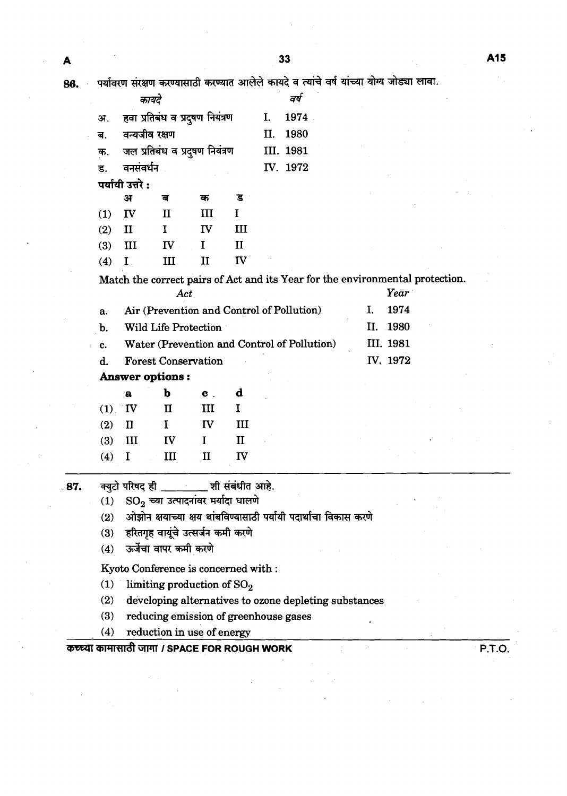| कायदे                                  | ਕਥ        |  |
|----------------------------------------|-----------|--|
| अ.     हवा प्रतिबंध व प्रदुषण नियंत्रण | I. 1974.  |  |
| ब. वन्यजीव रक्षण                       | II. 1980  |  |
| क. जल प्रतिबंध व प्रदुषण नियंत्रण      | III. 1981 |  |
| ड. वनसंवर्धन                           | IV. 1972  |  |
| <del>र्णाती नद</del> ो .               |           |  |

|     | अ            | ৰ                  | क  | ड           |
|-----|--------------|--------------------|----|-------------|
| (1) | $\mathbf{I}$ | H                  | Ш  | L           |
| (2) | П            | T.                 | ΓV | ЛI          |
| (3) | Ш            | $\overline{\bf N}$ | Τ  | $\rm _{II}$ |
| (4) |              | Ш                  | Н  | ${\bf \Pi}$ |

Match the correct pairs of Act and its Year for the environmental protection.

|      | Act.                                           | Year       |
|------|------------------------------------------------|------------|
| a.   | Air (Prevention and Control of Pollution)      | 1974<br>Ъ. |
|      | b. Wild Life Protection                        | II. 1980   |
|      | c. Water (Prevention and Control of Pollution) | III. 1981  |
| d. I | <b>Forest Conservation</b>                     | IV. 1972   |
|      |                                                |            |

**Answer options:** 

|     | a        | b         | $\mathbf{c}$ . | d  |
|-----|----------|-----------|----------------|----|
|     | $(1)$ IV | II        | ш              | 1  |
| (2) | - II     | L         | IV             | Ш  |
| (3) | Ш        | <b>IV</b> | L              | TΤ |
| (4) | -1       | Ш         | Π              | πv |

क्युटो परिषद ही \_\_\_\_\_\_ \_ शी संबंधीत आहे. 87.

> $SO_2$  च्या उत्पादनांवर मर्यादा घालणे  $(1)$

ओझोन क्षयाच्या क्षय थांबविण्यासाठी पर्यायी पदार्थाचा विकास करणे  $(2)$ 

- हरितगृह वायूंचे उत्सर्जन कमी करणे  $(3)$
- ऊर्जेचा वापर कमी करणे  $(4)$

Kyoto Conference is concerned with :

- $(1)$ limiting production of  $SO<sub>2</sub>$
- $(2)$ developing alternatives to ozone depleting substances
- reducing emission of greenhouse gases  $(3)$
- reduction in use of energy  $(4)$

## कच्च्या कामासाठी जागा / SPACE FOR ROUGH WORK

P.T.O.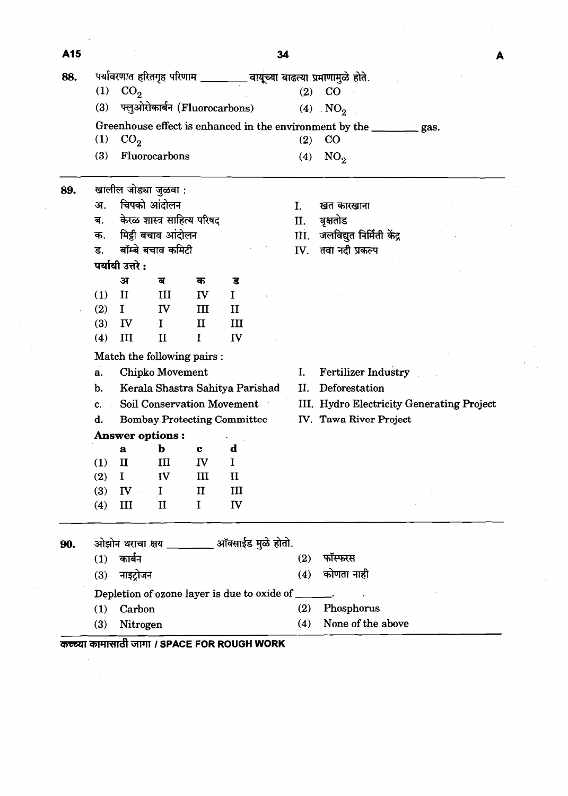| A15 |            |                                        |                                              |                   |               | 34             |                                                                        |
|-----|------------|----------------------------------------|----------------------------------------------|-------------------|---------------|----------------|------------------------------------------------------------------------|
| 88. |            |                                        |                                              |                   |               |                | पर्यावरणात हरितगृह परिणाम _________ वायूच्या वाढत्या प्रमाणामुळे होते. |
|     | (1)        | CO <sub>2</sub>                        |                                              |                   |               |                | $(2)$ CO                                                               |
|     | (3)        |                                        | फ्लुओरोकार्बन (Fluorocarbons)                |                   |               |                | (4) $NO2$                                                              |
|     |            |                                        |                                              |                   |               |                | Greenhouse effect is enhanced in the environment by the ________ gas.  |
|     | (1)        | CO <sub>2</sub>                        |                                              |                   |               | (2)            | $_{\rm CO}$                                                            |
|     | (3)        |                                        | Fluorocarbons                                |                   |               | (4)            | NO <sub>2</sub>                                                        |
| 89. |            |                                        | खालील जोड्या जुळवा :                         |                   |               |                |                                                                        |
|     | अ.         |                                        | चिपको आंदोलन                                 |                   |               | $\mathbf{I}$ . | खत कारखाना                                                             |
|     | ब.         |                                        | केरळ शास्त्र साहित्य परिषद                   |                   |               | II.            | वृक्षतोड                                                               |
|     | क.         |                                        | मिट्टी बचाव आंदोलन                           |                   |               | III.           | जलविद्युत निर्मिती केंद्र                                              |
|     | ड.         |                                        | बॉम्बे बचाव कमिटी                            |                   |               | IV.            | तवा नदी प्रकल्प                                                        |
|     |            | पर्यायी उत्तरे :                       |                                              |                   |               |                |                                                                        |
|     |            | अ                                      | ਰ                                            | क                 | ड             |                |                                                                        |
|     | (1)        | $\mathbf{I}$                           | III                                          | IV                | $\mathbf I$   |                |                                                                        |
|     | (2)        | $\mathbf I$                            | IV                                           | III               | $\mathbf{I}$  |                |                                                                        |
|     | (3)        | $\mathbf{I}$                           | $\bf{I}$                                     | $\mathbf{I}$      | Ш             |                |                                                                        |
|     | (4)        | $\rm III$                              | $\mathbf{I}$                                 | I                 | IV            |                |                                                                        |
|     |            |                                        | Match the following pairs :                  |                   |               |                |                                                                        |
|     | a.         |                                        | Chipko Movement                              |                   |               | I.             | <b>Fertilizer Industry</b>                                             |
|     | b.         |                                        | Kerala Shastra Sahitya Parishad              |                   |               | II.            | Deforestation                                                          |
|     | c.         |                                        | <b>Soil Conservation Movement</b>            |                   |               |                | III. Hydro Electricity Generating Project                              |
|     | d.         |                                        | <b>Bombay Protecting Committee</b>           |                   |               |                | IV. Tawa River Project                                                 |
|     |            |                                        | <b>Answer options:</b>                       |                   |               |                |                                                                        |
|     |            | a                                      | $\mathbf b$                                  | $\mathbf c$       | d             |                |                                                                        |
|     | (1)        | $\mathbf{I}$                           | III                                          | IV                | $\mathbf I$   |                |                                                                        |
|     | (2)<br>(3) | $\mathbf I$<br>$\mathbf{I} \mathbf{V}$ | IV<br>$\mathbf{I}$                           | Ш<br>$\mathbf{I}$ | $\rm II$<br>Ш |                |                                                                        |
|     | (4)        | III                                    | $\mathbf{I}$                                 | I                 | <b>IV</b>     |                |                                                                        |
| 90. |            |                                        | ओझोन थराचा क्षय ________ ऑक्साईड मुळे होतो.  |                   |               |                |                                                                        |
|     | (1)        | कार्बन                                 |                                              |                   |               | (2)            | फॉस्फरस                                                                |
|     | (3)        | नाइट्रोजन                              |                                              |                   |               | (4)            | कोणता नाही                                                             |
|     |            |                                        | Depletion of ozone layer is due to oxide of  |                   |               |                |                                                                        |
|     | (1)        | Carbon                                 |                                              |                   |               | (2)            | Phosphorus                                                             |
|     | (3)        | Nitrogen                               |                                              |                   |               | (4)            | None of the above                                                      |
|     |            |                                        | कच्च्या कामासाठी जागा / SPACE FOR ROUGH WORK |                   |               |                |                                                                        |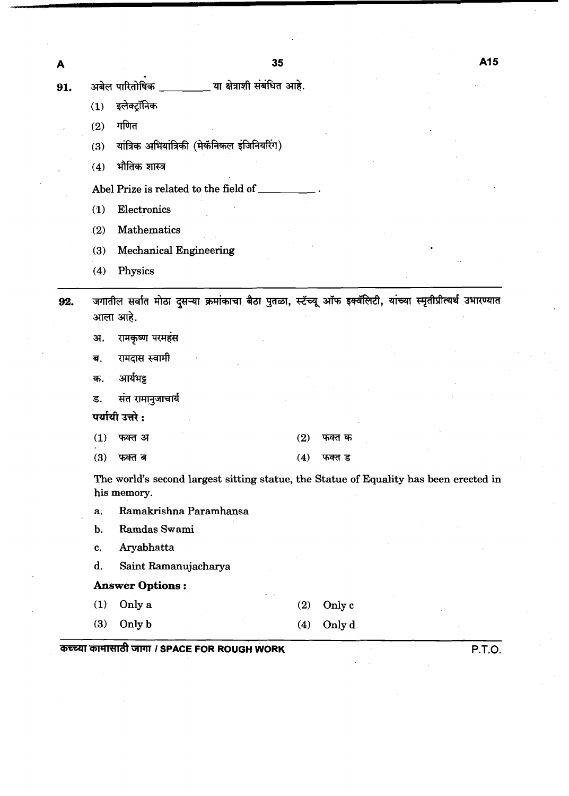- या क्षेत्राशी संबंधित आहे. अबेल पारितोषिक \_ 91.
	- इलेक्टॉनिक  $(1)$
	- गणित  $(2)$

A

- यांत्रिक अभियांत्रिकी (मेकॅनिकल इंजिनियरिंग)  $(3)$
- (4) भौतिक शास्त्र

**Abel Prize is related to the field of** 

- **(1) Electronics**
- **(2) Mathematics**
- **(3) Mechanical Engineering**
- **(4) Physics**

जगातील सर्वात मोठा दुसऱ्या क्रमांकाचा बैठा पुतळा, स्टॅच्यू ऑफ इक्वॅलिटी, यांच्या स्मृतीप्रीत्यर्थ उभारण्यात 92. आला आहे.

- रामकृष्ण परमहंस अ.
- रामदास स्वामी ब.
- आर्यभट्ट क.

संत रामानुजाचार्य ड.

पर्यायी उत्तरे :

- फक्त अ  $(1)$
- $(3)$ फक्त ब

 $(4)$ फक्त ड

फक्त क

**The world's second largest sitting statue, the Statue of Equality has been erected in his memory.** 

 $(2)$ 

- **a. Ramakrishna Paramhansa**
- **b. Ramdas Swami**
- **c. Aryabhatta**
- **d. Saint Ramanujacharya**

## **Answer Options** :

**(1) Only a** 

**(3) Only b** 

- **(2) Only c**
- **(4) Only d**
- (1) Only a (2) Only c<br>
(3) Only b (4) Only d<br> **THE ROUGH WORK** P.T.O.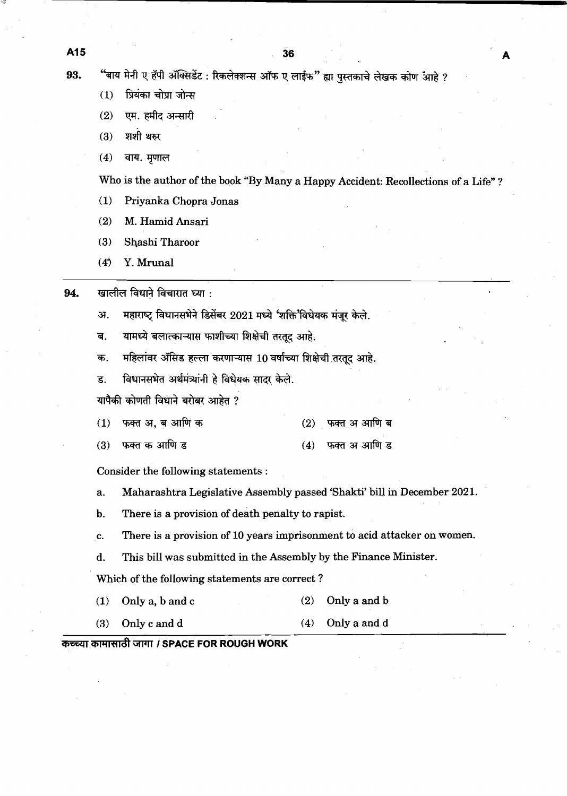"बाय मेनी ए हॅपी ॲक्सिडेंट : रिकलेक्शन्स ऑफ ए लाईफ" ह्या पुस्तकाचे लेखक कोण आहे ? 93.

- प्रियंका चोप्रा जोन्स  $(1)$
- एम. हमीद अन्सारी  $(2)$
- $(3)$ शशी थरुर
- $(4)$ वाय. मृणाल

Who is the author of the book "By Many a Happy Accident: Recollections of a Life" ?

- (1) Priyanka Chopra Jonas
- (2) M. Hamid Ansari
- (3) Shashi Tharoor
- $(4)$  Y. Mrunal
- खालील विधाने विचारात घ्या : 94.
	- महाराष्ट्र विधानसभेने डिसेंबर 2021 मध्ये 'शक्ति'विधेयक मंजूर केले. अ.
	- यामध्ये बलात्काऱ्यास फाशीच्या शिक्षेची तरतूद आहे. ब.
	- महिलांवर ॲसिड हल्ला करणाऱ्यास 10 वर्षाच्या शिक्षेची तरतूद आहे. क.
	- विधानसभेत अर्थमंत्र्यांनी हे विधेयक सादर केले. ड.

यापैकी कोणती विधाने बरोबर आहेत ?

- फक्त अ, ब आणि क फक्त अ आणि ब  $(1)$  $(2)$
- $(3)$ फक्त क आणि ड फक्त अ आणि ड  $(4)$

Consider the following statements :

- a. Maharashtra Legislative Assembly passed 'Shakti' bill in December 2021.
- b. There is a provision of death penalty to rapist.
- c. There is a provision of 10 years imprisonment to acid attacker on women.
- d. This bill was submitted in the Assembly by the Finance Minister.

Which of the following statements are correct ?

- (1) Only a, b and c (2) Only a and b
- (3) Only c and d (4) Only a and d

## $\overline{x}$  *ক*  $\overline{x}$   $\overline{y}$   $\overline{y}$   $\overline{y}$   $\overline{y}$   $\overline{y}$   $\overline{y}$   $\overline{y}$   $\overline{y}$   $\overline{y}$   $\overline{y}$   $\overline{y}$   $\overline{y}$   $\overline{y}$   $\overline{y}$   $\overline{y}$   $\overline{y}$   $\overline{y}$   $\overline{y}$   $\overline{y}$   $\overline{y}$   $\overline{y}$   $\overline{y}$   $\over$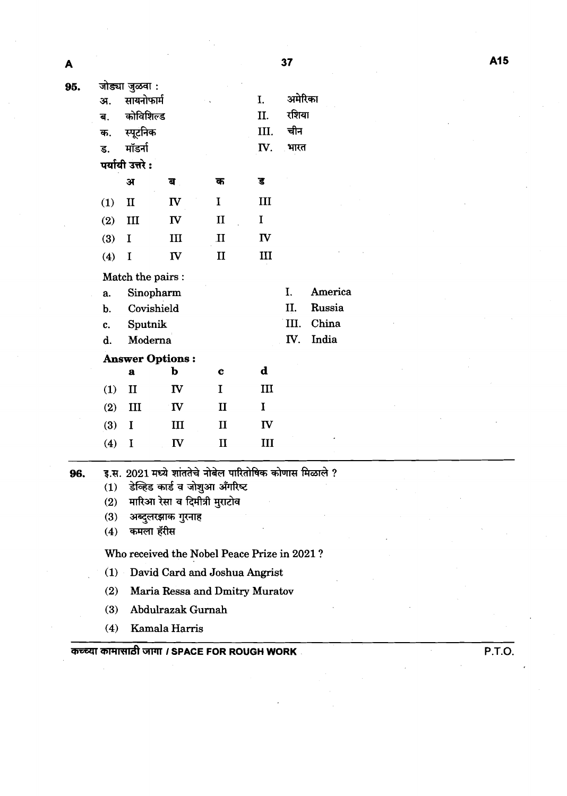$\ddot{\phantom{a}}$ 

| 37<br>A<br>जोड्या जुळवा :<br>95.<br>अमेरिका<br>सायनोफार्म<br>I.<br>अ.<br>रशिया<br>कोविशिल्ड<br>II.<br>ब.<br>चीन<br>स्पूटनिक<br>III.<br>क.<br>मॉडर्ना<br>IV.<br>भारत<br>ड.<br>पर्यायी उत्तरे:<br>$\overline{\mathbf{S}}$<br>ਕ<br>क<br>अ<br>I<br>III<br><b>IV</b><br>$\mathbf{I}$<br>(1)<br>II<br>$\mathbf I$<br>IV<br>III<br>(2)<br>$\mathbf{I}$<br>III<br>$\mathbf{II}$<br>(3)<br>$\mathbf I$<br>III<br>$\mathbf{I}$<br>(4)<br>$\mathbf I$<br>IV<br>Match the pairs :<br>America<br>I.<br>Sinopharm<br>a.<br>Russia<br>Covishield<br>II.<br>b.<br>III.<br>China<br>Sputnik<br>c.<br>India<br>IV.<br>Moderna<br>d.<br><b>Answer Options:</b><br>$\mathbf d$<br>þ<br>$\mathbf{a}$<br>$\mathbf c$<br>IV<br>$\mathbf I$<br>III<br>(1)<br>$\mathbf{I}$<br>$\mathbf I$<br>(2)<br>III<br><b>IV</b><br>$\mathbf{I}$<br>$\mathbf{I}$<br>IV<br>(3)<br>III<br>$\bf{I}$<br>$\mathbf{I}$<br>III<br>(4)<br>IV<br>I<br>इ.स. 2021 मध्ये शांततेचे नोबेल पारितोषिक कोणास मिळाले ?<br>96.<br>डेव्हिड कार्ड व जोशुआ अँगरिष्ट<br>(1)<br>मारिआ रेसा व दिमीत्री मुराटोव<br>(2)<br>अब्दुलरझाक गुरनाह<br>(3)<br>कमला हॅरीस<br>(4) |  |  |  |  |  |  |  |  |  |  |        |
|----------------------------------------------------------------------------------------------------------------------------------------------------------------------------------------------------------------------------------------------------------------------------------------------------------------------------------------------------------------------------------------------------------------------------------------------------------------------------------------------------------------------------------------------------------------------------------------------------------------------------------------------------------------------------------------------------------------------------------------------------------------------------------------------------------------------------------------------------------------------------------------------------------------------------------------------------------------------------------------------------------------------------------------------------------------------------------------------------------|--|--|--|--|--|--|--|--|--|--|--------|
|                                                                                                                                                                                                                                                                                                                                                                                                                                                                                                                                                                                                                                                                                                                                                                                                                                                                                                                                                                                                                                                                                                          |  |  |  |  |  |  |  |  |  |  | A15    |
|                                                                                                                                                                                                                                                                                                                                                                                                                                                                                                                                                                                                                                                                                                                                                                                                                                                                                                                                                                                                                                                                                                          |  |  |  |  |  |  |  |  |  |  |        |
|                                                                                                                                                                                                                                                                                                                                                                                                                                                                                                                                                                                                                                                                                                                                                                                                                                                                                                                                                                                                                                                                                                          |  |  |  |  |  |  |  |  |  |  |        |
|                                                                                                                                                                                                                                                                                                                                                                                                                                                                                                                                                                                                                                                                                                                                                                                                                                                                                                                                                                                                                                                                                                          |  |  |  |  |  |  |  |  |  |  |        |
|                                                                                                                                                                                                                                                                                                                                                                                                                                                                                                                                                                                                                                                                                                                                                                                                                                                                                                                                                                                                                                                                                                          |  |  |  |  |  |  |  |  |  |  |        |
|                                                                                                                                                                                                                                                                                                                                                                                                                                                                                                                                                                                                                                                                                                                                                                                                                                                                                                                                                                                                                                                                                                          |  |  |  |  |  |  |  |  |  |  |        |
|                                                                                                                                                                                                                                                                                                                                                                                                                                                                                                                                                                                                                                                                                                                                                                                                                                                                                                                                                                                                                                                                                                          |  |  |  |  |  |  |  |  |  |  |        |
|                                                                                                                                                                                                                                                                                                                                                                                                                                                                                                                                                                                                                                                                                                                                                                                                                                                                                                                                                                                                                                                                                                          |  |  |  |  |  |  |  |  |  |  |        |
|                                                                                                                                                                                                                                                                                                                                                                                                                                                                                                                                                                                                                                                                                                                                                                                                                                                                                                                                                                                                                                                                                                          |  |  |  |  |  |  |  |  |  |  |        |
|                                                                                                                                                                                                                                                                                                                                                                                                                                                                                                                                                                                                                                                                                                                                                                                                                                                                                                                                                                                                                                                                                                          |  |  |  |  |  |  |  |  |  |  |        |
|                                                                                                                                                                                                                                                                                                                                                                                                                                                                                                                                                                                                                                                                                                                                                                                                                                                                                                                                                                                                                                                                                                          |  |  |  |  |  |  |  |  |  |  |        |
|                                                                                                                                                                                                                                                                                                                                                                                                                                                                                                                                                                                                                                                                                                                                                                                                                                                                                                                                                                                                                                                                                                          |  |  |  |  |  |  |  |  |  |  |        |
|                                                                                                                                                                                                                                                                                                                                                                                                                                                                                                                                                                                                                                                                                                                                                                                                                                                                                                                                                                                                                                                                                                          |  |  |  |  |  |  |  |  |  |  |        |
|                                                                                                                                                                                                                                                                                                                                                                                                                                                                                                                                                                                                                                                                                                                                                                                                                                                                                                                                                                                                                                                                                                          |  |  |  |  |  |  |  |  |  |  |        |
|                                                                                                                                                                                                                                                                                                                                                                                                                                                                                                                                                                                                                                                                                                                                                                                                                                                                                                                                                                                                                                                                                                          |  |  |  |  |  |  |  |  |  |  |        |
|                                                                                                                                                                                                                                                                                                                                                                                                                                                                                                                                                                                                                                                                                                                                                                                                                                                                                                                                                                                                                                                                                                          |  |  |  |  |  |  |  |  |  |  |        |
|                                                                                                                                                                                                                                                                                                                                                                                                                                                                                                                                                                                                                                                                                                                                                                                                                                                                                                                                                                                                                                                                                                          |  |  |  |  |  |  |  |  |  |  |        |
|                                                                                                                                                                                                                                                                                                                                                                                                                                                                                                                                                                                                                                                                                                                                                                                                                                                                                                                                                                                                                                                                                                          |  |  |  |  |  |  |  |  |  |  |        |
|                                                                                                                                                                                                                                                                                                                                                                                                                                                                                                                                                                                                                                                                                                                                                                                                                                                                                                                                                                                                                                                                                                          |  |  |  |  |  |  |  |  |  |  |        |
|                                                                                                                                                                                                                                                                                                                                                                                                                                                                                                                                                                                                                                                                                                                                                                                                                                                                                                                                                                                                                                                                                                          |  |  |  |  |  |  |  |  |  |  |        |
|                                                                                                                                                                                                                                                                                                                                                                                                                                                                                                                                                                                                                                                                                                                                                                                                                                                                                                                                                                                                                                                                                                          |  |  |  |  |  |  |  |  |  |  |        |
|                                                                                                                                                                                                                                                                                                                                                                                                                                                                                                                                                                                                                                                                                                                                                                                                                                                                                                                                                                                                                                                                                                          |  |  |  |  |  |  |  |  |  |  |        |
|                                                                                                                                                                                                                                                                                                                                                                                                                                                                                                                                                                                                                                                                                                                                                                                                                                                                                                                                                                                                                                                                                                          |  |  |  |  |  |  |  |  |  |  |        |
|                                                                                                                                                                                                                                                                                                                                                                                                                                                                                                                                                                                                                                                                                                                                                                                                                                                                                                                                                                                                                                                                                                          |  |  |  |  |  |  |  |  |  |  |        |
|                                                                                                                                                                                                                                                                                                                                                                                                                                                                                                                                                                                                                                                                                                                                                                                                                                                                                                                                                                                                                                                                                                          |  |  |  |  |  |  |  |  |  |  |        |
|                                                                                                                                                                                                                                                                                                                                                                                                                                                                                                                                                                                                                                                                                                                                                                                                                                                                                                                                                                                                                                                                                                          |  |  |  |  |  |  |  |  |  |  |        |
|                                                                                                                                                                                                                                                                                                                                                                                                                                                                                                                                                                                                                                                                                                                                                                                                                                                                                                                                                                                                                                                                                                          |  |  |  |  |  |  |  |  |  |  |        |
|                                                                                                                                                                                                                                                                                                                                                                                                                                                                                                                                                                                                                                                                                                                                                                                                                                                                                                                                                                                                                                                                                                          |  |  |  |  |  |  |  |  |  |  |        |
| Who received the Nobel Peace Prize in 2021?                                                                                                                                                                                                                                                                                                                                                                                                                                                                                                                                                                                                                                                                                                                                                                                                                                                                                                                                                                                                                                                              |  |  |  |  |  |  |  |  |  |  |        |
| (1)<br>David Card and Joshua Angrist                                                                                                                                                                                                                                                                                                                                                                                                                                                                                                                                                                                                                                                                                                                                                                                                                                                                                                                                                                                                                                                                     |  |  |  |  |  |  |  |  |  |  |        |
| (2)<br>Maria Ressa and Dmitry Muratov                                                                                                                                                                                                                                                                                                                                                                                                                                                                                                                                                                                                                                                                                                                                                                                                                                                                                                                                                                                                                                                                    |  |  |  |  |  |  |  |  |  |  |        |
| Abdulrazak Gurnah<br>(3)                                                                                                                                                                                                                                                                                                                                                                                                                                                                                                                                                                                                                                                                                                                                                                                                                                                                                                                                                                                                                                                                                 |  |  |  |  |  |  |  |  |  |  |        |
| Kamala Harris<br>(4)                                                                                                                                                                                                                                                                                                                                                                                                                                                                                                                                                                                                                                                                                                                                                                                                                                                                                                                                                                                                                                                                                     |  |  |  |  |  |  |  |  |  |  |        |
| कच्च्या कामासाठी जागा / SPACE FOR ROUGH WORK                                                                                                                                                                                                                                                                                                                                                                                                                                                                                                                                                                                                                                                                                                                                                                                                                                                                                                                                                                                                                                                             |  |  |  |  |  |  |  |  |  |  | P.T.O. |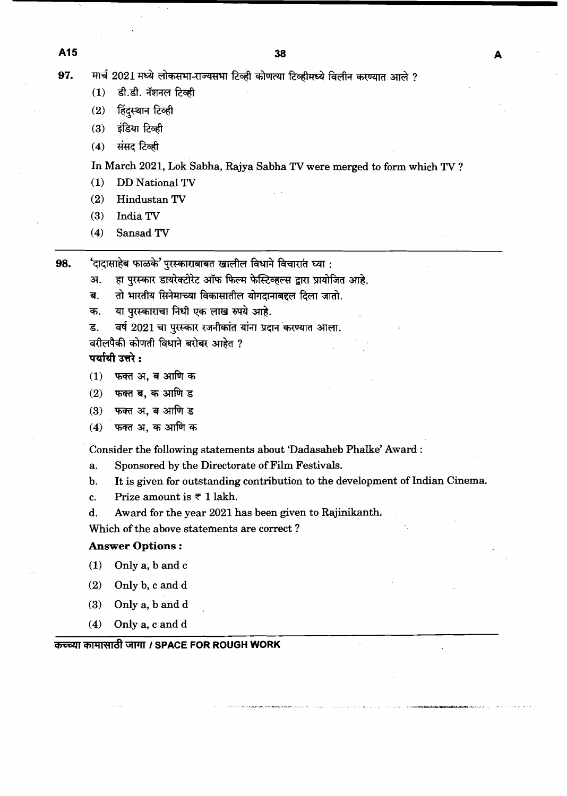98.

मार्च 2021 मध्ये लोकसभा-राज्यसभा टिव्ही कोणत्या टिव्हीमध्ये विलीन करण्यात आले ? 97.

- डी.डी. नॅशनल टिक्की  $(1)$
- हिंदस्थान टिव्ही  $(2)$
- इंडिया टिव्ही  $(3)$
- संसद टिव्ही  $(4)$

In March **2021,** Lok Sabha, Rajya Sabha TV were merged to form which TV ?

- **(1)** DD National **TV**
- **(2)** HindustanTV
- **(3)** India TV
- **(4)** Sansad **TV**

'दादासाहेब फाळके' पुरस्काराबाबत खालील विधाने विचारात घ्या :

- हा पुरस्कार डायरेक्टोरेट ऑफ फिल्म फेस्टिव्हल्स द्वारा प्रायोजित आहे. अ.
- तो भारतीय सिनेमाच्या विकासातील योगदानाबद्दल दिला जातो. ਕ.
- या परस्काराचा निधी एक लाख रुपये आहे. क.
- वर्ष 2021 चा पुरस्कार रजनीकांत यांना प्रदान करण्यात आला. ड.
- वरीलपैकी कोणती विधाने बरोबर आहेत ?

पर्यायी उत्तरे:

- फक्त अ. ब आणि क  $(1)$
- फक्त ब, क आणि ड  $(2)$
- फक्त अ. ब आणि ड  $(3)$
- फक्त अ. क आणि क  $(4)$

Consider the following statements about 'Dadasaheb Phalke' Award :

- a. Sponsored by the Directorate of Film Festivals.
- b. It is given for outstanding contribution to the development of Indian Cinema.
- c. Prize amount is  $\overline{\tau}$  1 lakh.
- d. Award for the year **2021** has been given to Rajinikanth.

Which of the above statements are correct ?

## **Answer Options** :

- **(1)** Only a, b and c
- **(2)** Only b, c and d
- **(3)** Only a, b and d
- **(4)** Only a, c and d

## *ক***চ্চ্या कामासाठी जागा / SPACE FOR ROUGH WORK**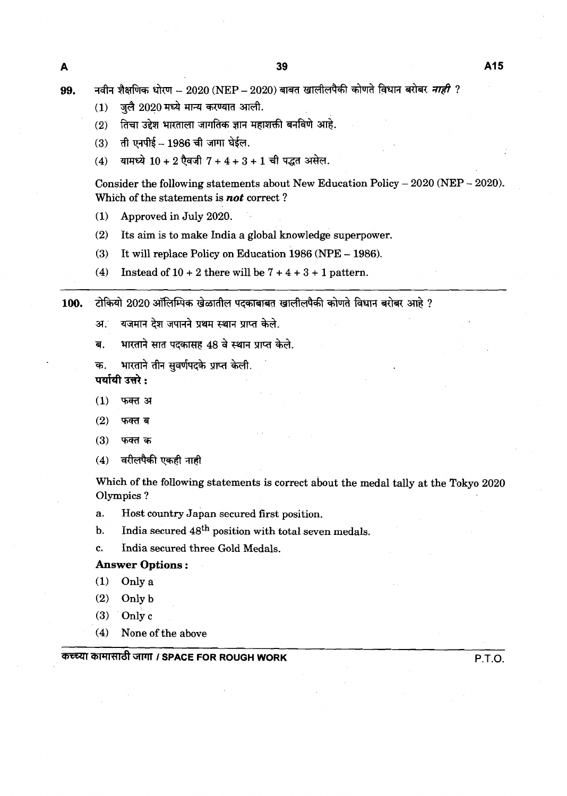- जुलै 2020 मध्ये मान्य करण्यात आली.  $(1)$
- तिचा उद्देश भारताला जागतिक ज्ञान महाशक्ती बनविणे आहे.  $(2)$
- ती एनपीई 1986 ची जागा घेईल.  $(3)$
- $(4)$ यामध्ये  $10 + 2$  ऐवजी  $7 + 4 + 3 + 1$  ची पद्धत असेल.

Consider the following statements about New Education Policy - **<sup>2020</sup>**(NEP - **2020).**  Which of the statements is *not* correct ?

- **(1)** Approved in July **2020.**
- **(2)** Its aim is to make India a global knowledge superpower.
- **(3)** It will replace Policy on Education **1986** (NPE **1986).**
- **(4)** Instead of **10** + **2** there will be **7** + **4** + **3** + **1** pattern.

टोकियो 2020 ऑलिम्पिक खेळातील पदकाबाबत खालीलपैकी कोणते विधान बरोबर आहे ? 100.

- यजमान देश जपानने प्रथम स्थान प्राप्त केले. अ.
- भारताने सात पदकासह 48 वे स्थान प्राप्त केले. ब.
- भारताने तीन सुवर्णपदके प्राप्त केली. क.

पर्यायी उत्तरे :

- $(1)$ फक्त अ
- $(2)$ फक्त ब
- $(3)$ फक्त क
- वरीलपैकी एकही नाही  $(4)$

Which of the following statements is correct about the medal tally at the Tokyo **2020**  Olympics ?

- a. Host country Japan secured first position.
- b. India secured  $48<sup>th</sup>$  position with total seven medals.
- c. India secured three Gold Medals.

## **Answer Options** :

- **(1)** Onlya
- **(2)** Onlyb
- $(3)$  Only c
- **(4)** None of the above

## **1 SPACE FOR ROUGH WORK P.T.O.**